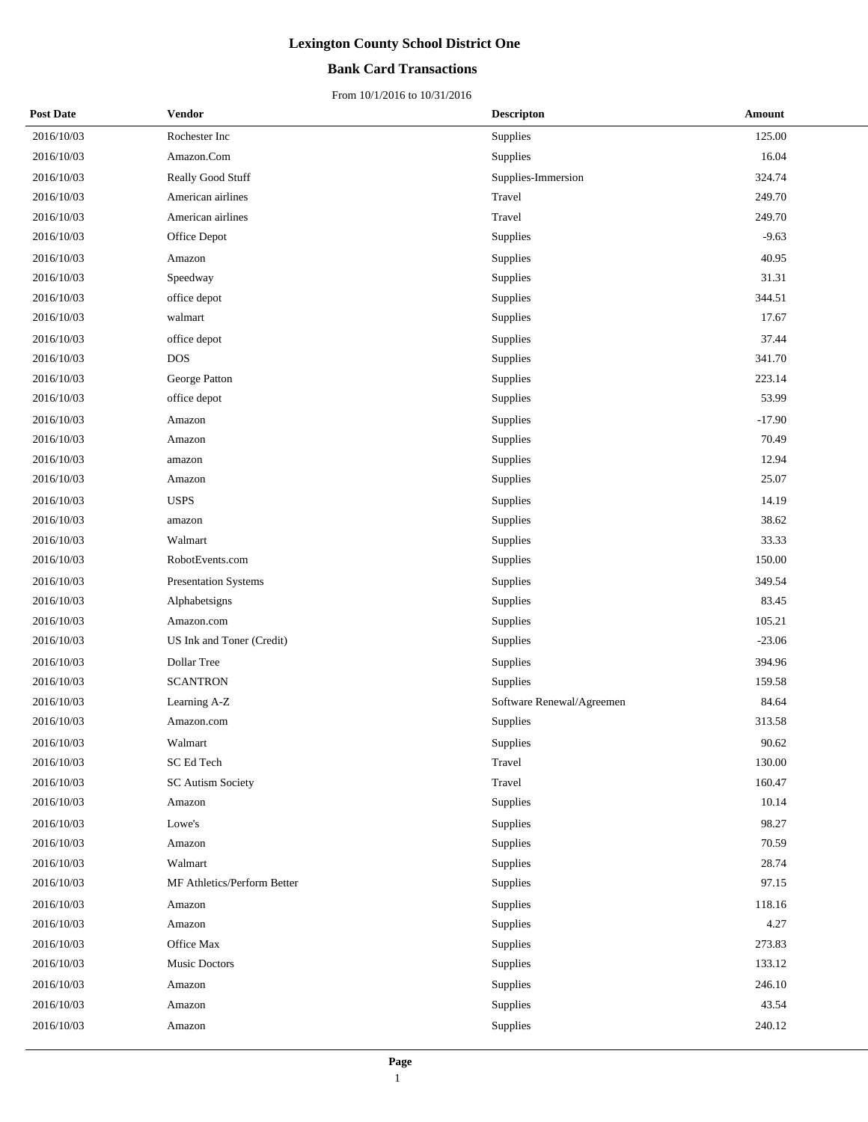### **Bank Card Transactions**

| <b>Post Date</b> | Vendor                      | <b>Descripton</b>         | Amount   |
|------------------|-----------------------------|---------------------------|----------|
| 2016/10/03       | Rochester Inc               | Supplies                  | 125.00   |
| 2016/10/03       | Amazon.Com                  | Supplies                  | 16.04    |
| 2016/10/03       | Really Good Stuff           | Supplies-Immersion        | 324.74   |
| 2016/10/03       | American airlines           | Travel                    | 249.70   |
| 2016/10/03       | American airlines           | Travel                    | 249.70   |
| 2016/10/03       | Office Depot                | Supplies                  | $-9.63$  |
| 2016/10/03       | Amazon                      | Supplies                  | 40.95    |
| 2016/10/03       | Speedway                    | Supplies                  | 31.31    |
| 2016/10/03       | office depot                | Supplies                  | 344.51   |
| 2016/10/03       | walmart                     | Supplies                  | 17.67    |
| 2016/10/03       | office depot                | Supplies                  | 37.44    |
| 2016/10/03       | <b>DOS</b>                  | Supplies                  | 341.70   |
| 2016/10/03       | George Patton               | Supplies                  | 223.14   |
| 2016/10/03       | office depot                | Supplies                  | 53.99    |
| 2016/10/03       | Amazon                      | Supplies                  | $-17.90$ |
| 2016/10/03       | Amazon                      | Supplies                  | 70.49    |
| 2016/10/03       | amazon                      | Supplies                  | 12.94    |
| 2016/10/03       | Amazon                      | Supplies                  | 25.07    |
| 2016/10/03       | <b>USPS</b>                 | Supplies                  | 14.19    |
| 2016/10/03       | amazon                      | Supplies                  | 38.62    |
| 2016/10/03       | Walmart                     | Supplies                  | 33.33    |
| 2016/10/03       | RobotEvents.com             | Supplies                  | 150.00   |
| 2016/10/03       | <b>Presentation Systems</b> | Supplies                  | 349.54   |
| 2016/10/03       | Alphabetsigns               | Supplies                  | 83.45    |
| 2016/10/03       | Amazon.com                  | Supplies                  | 105.21   |
| 2016/10/03       | US Ink and Toner (Credit)   | Supplies                  | $-23.06$ |
| 2016/10/03       | Dollar Tree                 | Supplies                  | 394.96   |
| 2016/10/03       | <b>SCANTRON</b>             | Supplies                  | 159.58   |
| 2016/10/03       | Learning A-Z                | Software Renewal/Agreemen | 84.64    |
| 2016/10/03       | Amazon.com                  | Supplies                  | 313.58   |
| 2016/10/03       | Walmart                     | Supplies                  | 90.62    |
| 2016/10/03       | SC Ed Tech                  | Travel                    | 130.00   |
| 2016/10/03       | <b>SC Autism Society</b>    | Travel                    | 160.47   |
| 2016/10/03       | Amazon                      | Supplies                  | 10.14    |
| 2016/10/03       | Lowe's                      | Supplies                  | 98.27    |
| 2016/10/03       | Amazon                      | Supplies                  | 70.59    |
| 2016/10/03       | Walmart                     | Supplies                  | 28.74    |
| 2016/10/03       | MF Athletics/Perform Better | Supplies                  | 97.15    |
| 2016/10/03       | Amazon                      | Supplies                  | 118.16   |
| 2016/10/03       | Amazon                      | Supplies                  | 4.27     |
| 2016/10/03       | Office Max                  | Supplies                  | 273.83   |
| 2016/10/03       | Music Doctors               | Supplies                  | 133.12   |
| 2016/10/03       | Amazon                      | Supplies                  | 246.10   |
| 2016/10/03       | Amazon                      | Supplies                  | 43.54    |
| 2016/10/03       | Amazon                      | Supplies                  | 240.12   |
|                  |                             |                           |          |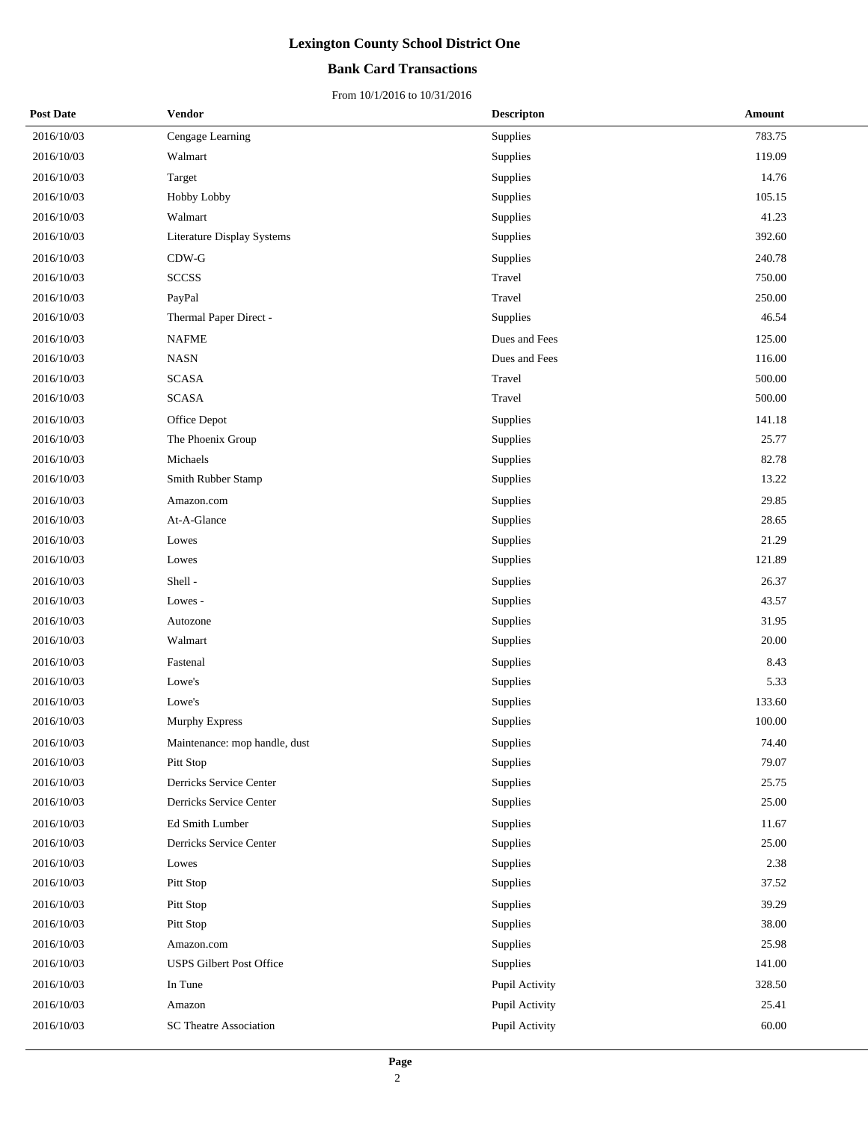### **Bank Card Transactions**

| <b>Post Date</b> | Vendor                          | <b>Descripton</b> | Amount |
|------------------|---------------------------------|-------------------|--------|
| 2016/10/03       | Cengage Learning                | Supplies          | 783.75 |
| 2016/10/03       | Walmart                         | Supplies          | 119.09 |
| 2016/10/03       | Target                          | Supplies          | 14.76  |
| 2016/10/03       | Hobby Lobby                     | Supplies          | 105.15 |
| 2016/10/03       | Walmart                         | Supplies          | 41.23  |
| 2016/10/03       | Literature Display Systems      | Supplies          | 392.60 |
| 2016/10/03       | $CDW-G$                         | Supplies          | 240.78 |
| 2016/10/03       | <b>SCCSS</b>                    | Travel            | 750.00 |
| 2016/10/03       | PayPal                          | Travel            | 250.00 |
| 2016/10/03       | Thermal Paper Direct -          | Supplies          | 46.54  |
| 2016/10/03       | <b>NAFME</b>                    | Dues and Fees     | 125.00 |
| 2016/10/03       | <b>NASN</b>                     | Dues and Fees     | 116.00 |
| 2016/10/03       | <b>SCASA</b>                    | Travel            | 500.00 |
| 2016/10/03       | <b>SCASA</b>                    | Travel            | 500.00 |
| 2016/10/03       | Office Depot                    | Supplies          | 141.18 |
| 2016/10/03       | The Phoenix Group               | Supplies          | 25.77  |
| 2016/10/03       | Michaels                        | Supplies          | 82.78  |
| 2016/10/03       | Smith Rubber Stamp              | Supplies          | 13.22  |
| 2016/10/03       | Amazon.com                      | Supplies          | 29.85  |
| 2016/10/03       | At-A-Glance                     | Supplies          | 28.65  |
| 2016/10/03       | Lowes                           | Supplies          | 21.29  |
| 2016/10/03       | Lowes                           | Supplies          | 121.89 |
| 2016/10/03       | Shell-                          | Supplies          | 26.37  |
| 2016/10/03       | Lowes -                         | Supplies          | 43.57  |
| 2016/10/03       | Autozone                        | Supplies          | 31.95  |
| 2016/10/03       | Walmart                         | Supplies          | 20.00  |
| 2016/10/03       | Fastenal                        | Supplies          | 8.43   |
| 2016/10/03       | Lowe's                          | Supplies          | 5.33   |
| 2016/10/03       | Lowe's                          | Supplies          | 133.60 |
| 2016/10/03       | Murphy Express                  | Supplies          | 100.00 |
| 2016/10/03       | Maintenance: mop handle, dust   | Supplies          | 74.40  |
| 2016/10/03       | Pitt Stop                       | Supplies          | 79.07  |
| 2016/10/03       | Derricks Service Center         | Supplies          | 25.75  |
| 2016/10/03       | Derricks Service Center         | Supplies          | 25.00  |
| 2016/10/03       | Ed Smith Lumber                 | Supplies          | 11.67  |
| 2016/10/03       | Derricks Service Center         | Supplies          | 25.00  |
| 2016/10/03       | Lowes                           | Supplies          | 2.38   |
| 2016/10/03       | Pitt Stop                       | Supplies          | 37.52  |
| 2016/10/03       | Pitt Stop                       | Supplies          | 39.29  |
| 2016/10/03       | Pitt Stop                       | Supplies          | 38.00  |
| 2016/10/03       | Amazon.com                      | Supplies          | 25.98  |
| 2016/10/03       | <b>USPS Gilbert Post Office</b> | Supplies          | 141.00 |
| 2016/10/03       | In Tune                         | Pupil Activity    | 328.50 |
| 2016/10/03       | Amazon                          | Pupil Activity    | 25.41  |
| 2016/10/03       | <b>SC Theatre Association</b>   | Pupil Activity    | 60.00  |
|                  |                                 |                   |        |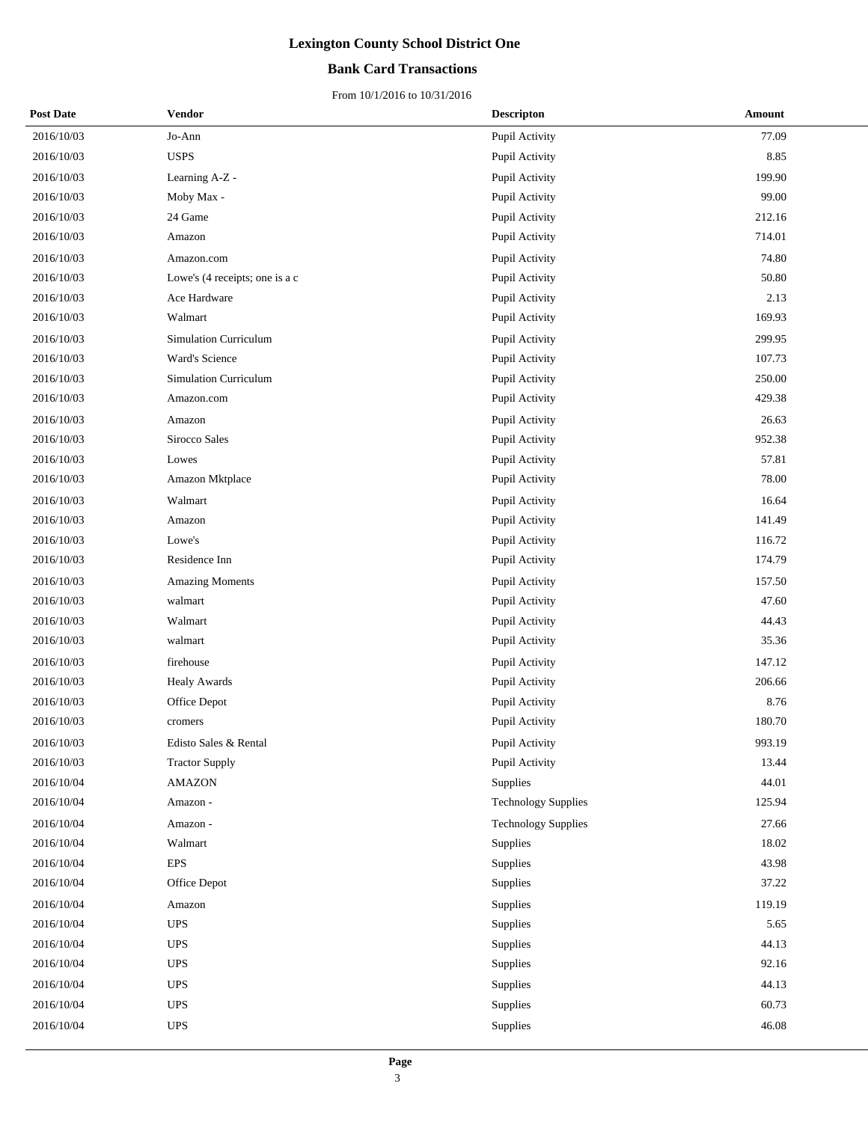### **Bank Card Transactions**

| <b>Post Date</b> | Vendor                         | <b>Descripton</b>          | Amount |
|------------------|--------------------------------|----------------------------|--------|
| 2016/10/03       | Jo-Ann                         | Pupil Activity             | 77.09  |
| 2016/10/03       | <b>USPS</b>                    | Pupil Activity             | 8.85   |
| 2016/10/03       | Learning A-Z -                 | Pupil Activity             | 199.90 |
| 2016/10/03       | Moby Max -                     | Pupil Activity             | 99.00  |
| 2016/10/03       | 24 Game                        | Pupil Activity             | 212.16 |
| 2016/10/03       | Amazon                         | Pupil Activity             | 714.01 |
| 2016/10/03       | Amazon.com                     | Pupil Activity             | 74.80  |
| 2016/10/03       | Lowe's (4 receipts; one is a c | Pupil Activity             | 50.80  |
| 2016/10/03       | Ace Hardware                   | Pupil Activity             | 2.13   |
| 2016/10/03       | Walmart                        | Pupil Activity             | 169.93 |
| 2016/10/03       | <b>Simulation Curriculum</b>   | Pupil Activity             | 299.95 |
| 2016/10/03       | Ward's Science                 | Pupil Activity             | 107.73 |
| 2016/10/03       | <b>Simulation Curriculum</b>   | Pupil Activity             | 250.00 |
| 2016/10/03       | Amazon.com                     | Pupil Activity             | 429.38 |
| 2016/10/03       | Amazon                         | Pupil Activity             | 26.63  |
| 2016/10/03       | Sirocco Sales                  | Pupil Activity             | 952.38 |
| 2016/10/03       | Lowes                          | Pupil Activity             | 57.81  |
| 2016/10/03       | Amazon Mktplace                | Pupil Activity             | 78.00  |
| 2016/10/03       | Walmart                        | Pupil Activity             | 16.64  |
| 2016/10/03       | Amazon                         | Pupil Activity             | 141.49 |
| 2016/10/03       | Lowe's                         | Pupil Activity             | 116.72 |
| 2016/10/03       | Residence Inn                  | Pupil Activity             | 174.79 |
| 2016/10/03       | <b>Amazing Moments</b>         | Pupil Activity             | 157.50 |
| 2016/10/03       | walmart                        | Pupil Activity             | 47.60  |
| 2016/10/03       | Walmart                        | Pupil Activity             | 44.43  |
| 2016/10/03       | walmart                        | Pupil Activity             | 35.36  |
| 2016/10/03       | firehouse                      | Pupil Activity             | 147.12 |
| 2016/10/03       | <b>Healy Awards</b>            | Pupil Activity             | 206.66 |
| 2016/10/03       | Office Depot                   | Pupil Activity             | 8.76   |
| 2016/10/03       | cromers                        | Pupil Activity             | 180.70 |
| 2016/10/03       | Edisto Sales & Rental          | Pupil Activity             | 993.19 |
| 2016/10/03       | <b>Tractor Supply</b>          | Pupil Activity             | 13.44  |
| 2016/10/04       | <b>AMAZON</b>                  | Supplies                   | 44.01  |
| 2016/10/04       | Amazon -                       | <b>Technology Supplies</b> | 125.94 |
| 2016/10/04       | Amazon -                       | <b>Technology Supplies</b> | 27.66  |
| 2016/10/04       | Walmart                        | Supplies                   | 18.02  |
| 2016/10/04       | <b>EPS</b>                     | Supplies                   | 43.98  |
| 2016/10/04       | Office Depot                   | Supplies                   | 37.22  |
| 2016/10/04       | Amazon                         | Supplies                   | 119.19 |
| 2016/10/04       | <b>UPS</b>                     | Supplies                   | 5.65   |
| 2016/10/04       | <b>UPS</b>                     | Supplies                   | 44.13  |
| 2016/10/04       | <b>UPS</b>                     | Supplies                   | 92.16  |
| 2016/10/04       | <b>UPS</b>                     | Supplies                   | 44.13  |
| 2016/10/04       | <b>UPS</b>                     | Supplies                   | 60.73  |
| 2016/10/04       | <b>UPS</b>                     | Supplies                   | 46.08  |
|                  |                                |                            |        |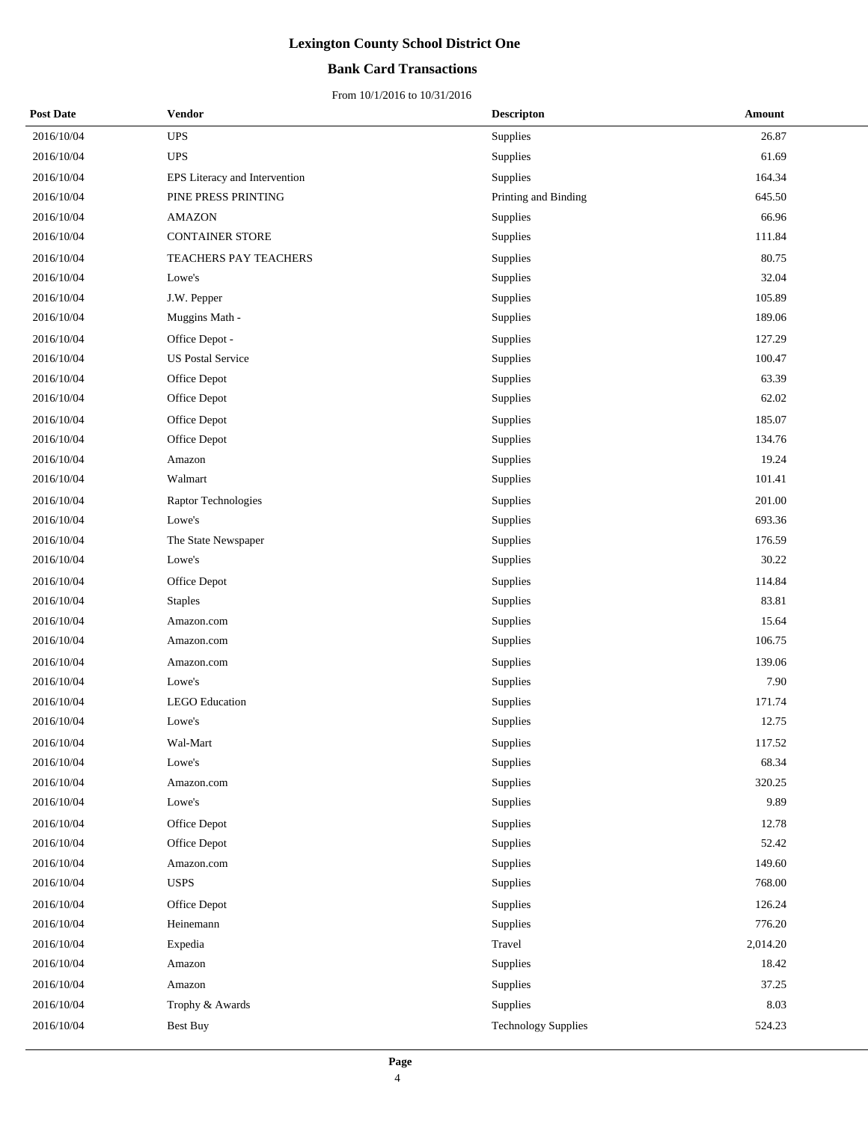### **Bank Card Transactions**

| <b>Post Date</b> | Vendor                        | <b>Descripton</b>          | Amount   |
|------------------|-------------------------------|----------------------------|----------|
| 2016/10/04       | <b>UPS</b>                    | Supplies                   | 26.87    |
| 2016/10/04       | <b>UPS</b>                    | Supplies                   | 61.69    |
| 2016/10/04       | EPS Literacy and Intervention | Supplies                   | 164.34   |
| 2016/10/04       | PINE PRESS PRINTING           | Printing and Binding       | 645.50   |
| 2016/10/04       | <b>AMAZON</b>                 | Supplies                   | 66.96    |
| 2016/10/04       | CONTAINER STORE               | Supplies                   | 111.84   |
| 2016/10/04       | TEACHERS PAY TEACHERS         | Supplies                   | 80.75    |
| 2016/10/04       | Lowe's                        | <b>Supplies</b>            | 32.04    |
| 2016/10/04       | J.W. Pepper                   | Supplies                   | 105.89   |
| 2016/10/04       | Muggins Math -                | Supplies                   | 189.06   |
| 2016/10/04       | Office Depot -                | Supplies                   | 127.29   |
| 2016/10/04       | <b>US Postal Service</b>      | Supplies                   | 100.47   |
| 2016/10/04       | Office Depot                  | Supplies                   | 63.39    |
| 2016/10/04       | Office Depot                  | Supplies                   | 62.02    |
| 2016/10/04       | Office Depot                  | Supplies                   | 185.07   |
| 2016/10/04       | Office Depot                  | Supplies                   | 134.76   |
| 2016/10/04       | Amazon                        | <b>Supplies</b>            | 19.24    |
| 2016/10/04       | Walmart                       | Supplies                   | 101.41   |
| 2016/10/04       | Raptor Technologies           | Supplies                   | 201.00   |
| 2016/10/04       | Lowe's                        | <b>Supplies</b>            | 693.36   |
| 2016/10/04       | The State Newspaper           | Supplies                   | 176.59   |
| 2016/10/04       | Lowe's                        | Supplies                   | 30.22    |
| 2016/10/04       | Office Depot                  | Supplies                   | 114.84   |
| 2016/10/04       | <b>Staples</b>                | Supplies                   | 83.81    |
| 2016/10/04       | Amazon.com                    | Supplies                   | 15.64    |
| 2016/10/04       | Amazon.com                    | Supplies                   | 106.75   |
| 2016/10/04       | Amazon.com                    | Supplies                   | 139.06   |
| 2016/10/04       | Lowe's                        | Supplies                   | 7.90     |
| 2016/10/04       | <b>LEGO</b> Education         | Supplies                   | 171.74   |
| 2016/10/04       | Lowe's                        | Supplies                   | 12.75    |
| 2016/10/04       | Wal-Mart                      | Supplies                   | 117.52   |
| 2016/10/04       | Lowe's                        | Supplies                   | 68.34    |
| 2016/10/04       | Amazon.com                    | Supplies                   | 320.25   |
| 2016/10/04       | Lowe's                        | Supplies                   | 9.89     |
| 2016/10/04       | Office Depot                  | Supplies                   | 12.78    |
| 2016/10/04       | Office Depot                  | Supplies                   | 52.42    |
| 2016/10/04       | Amazon.com                    | Supplies                   | 149.60   |
| 2016/10/04       | <b>USPS</b>                   | Supplies                   | 768.00   |
| 2016/10/04       | Office Depot                  | Supplies                   | 126.24   |
| 2016/10/04       | Heinemann                     | Supplies                   | 776.20   |
| 2016/10/04       | Expedia                       | Travel                     | 2,014.20 |
| 2016/10/04       | Amazon                        | Supplies                   | 18.42    |
| 2016/10/04       | Amazon                        | Supplies                   | 37.25    |
| 2016/10/04       | Trophy & Awards               | Supplies                   | 8.03     |
| 2016/10/04       | <b>Best Buy</b>               | <b>Technology Supplies</b> | 524.23   |
|                  |                               |                            |          |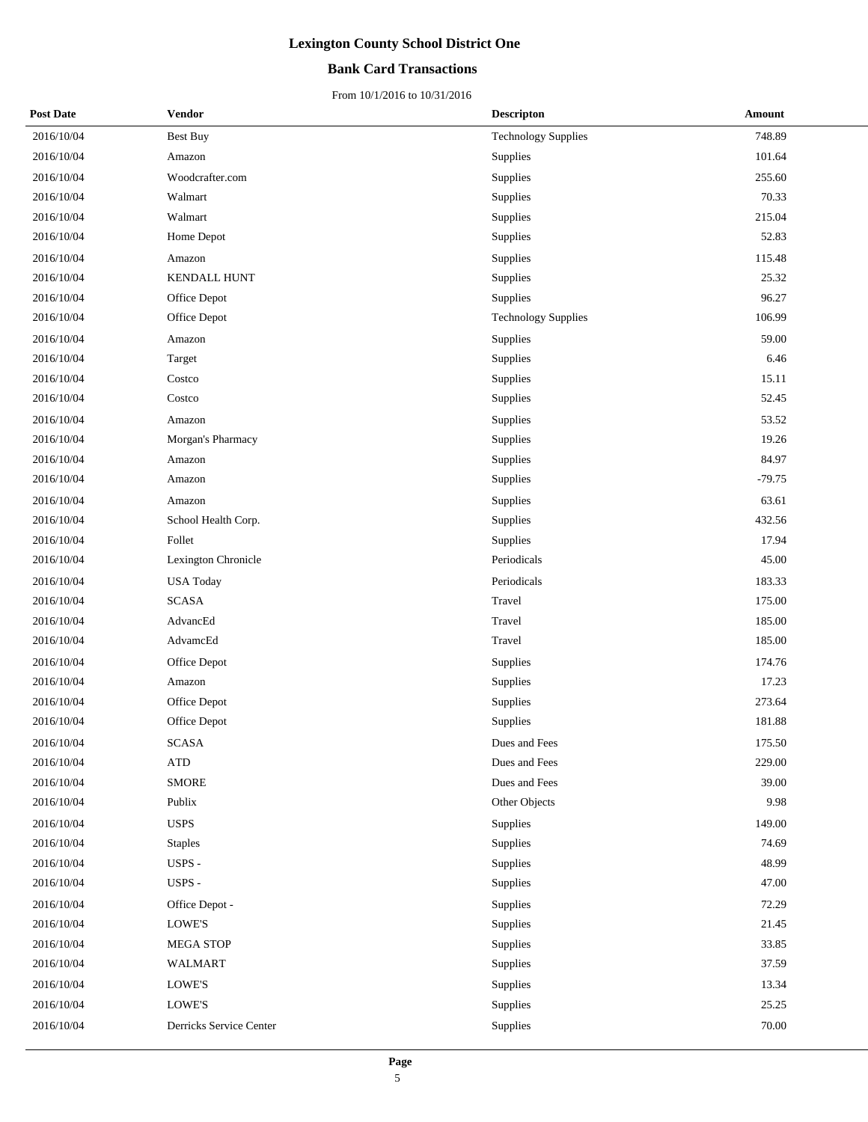### **Bank Card Transactions**

| <b>Post Date</b> | <b>Vendor</b>           | <b>Descripton</b>          | <b>Amount</b> |
|------------------|-------------------------|----------------------------|---------------|
| 2016/10/04       | <b>Best Buy</b>         | <b>Technology Supplies</b> | 748.89        |
| 2016/10/04       | Amazon                  | Supplies                   | 101.64        |
| 2016/10/04       | Woodcrafter.com         | Supplies                   | 255.60        |
| 2016/10/04       | Walmart                 | Supplies                   | 70.33         |
| 2016/10/04       | Walmart                 | Supplies                   | 215.04        |
| 2016/10/04       | Home Depot              | Supplies                   | 52.83         |
| 2016/10/04       | Amazon                  | Supplies                   | 115.48        |
| 2016/10/04       | <b>KENDALL HUNT</b>     | Supplies                   | 25.32         |
| 2016/10/04       | Office Depot            | Supplies                   | 96.27         |
| 2016/10/04       | Office Depot            | <b>Technology Supplies</b> | 106.99        |
| 2016/10/04       | Amazon                  | Supplies                   | 59.00         |
| 2016/10/04       | Target                  | Supplies                   | 6.46          |
| 2016/10/04       | Costco                  | Supplies                   | 15.11         |
| 2016/10/04       | Costco                  | Supplies                   | 52.45         |
| 2016/10/04       | Amazon                  | Supplies                   | 53.52         |
| 2016/10/04       | Morgan's Pharmacy       | Supplies                   | 19.26         |
| 2016/10/04       | Amazon                  | Supplies                   | 84.97         |
| 2016/10/04       | Amazon                  | Supplies                   | $-79.75$      |
| 2016/10/04       | Amazon                  | Supplies                   | 63.61         |
| 2016/10/04       | School Health Corp.     | Supplies                   | 432.56        |
| 2016/10/04       | Follet                  | Supplies                   | 17.94         |
| 2016/10/04       | Lexington Chronicle     | Periodicals                | 45.00         |
| 2016/10/04       | <b>USA Today</b>        | Periodicals                | 183.33        |
| 2016/10/04       | <b>SCASA</b>            | Travel                     | 175.00        |
| 2016/10/04       | AdvancEd                | Travel                     | 185.00        |
| 2016/10/04       | AdvamcEd                | Travel                     | 185.00        |
| 2016/10/04       | Office Depot            | Supplies                   | 174.76        |
| 2016/10/04       | Amazon                  | Supplies                   | 17.23         |
| 2016/10/04       | Office Depot            | Supplies                   | 273.64        |
| 2016/10/04       | Office Depot            | Supplies                   | 181.88        |
| 2016/10/04       | SCASA                   | Dues and Fees              | 175.50        |
| 2016/10/04       | ${\rm ATP}$             | Dues and Fees              | 229.00        |
| 2016/10/04       | <b>SMORE</b>            | Dues and Fees              | 39.00         |
| 2016/10/04       | Publix                  | Other Objects              | 9.98          |
| 2016/10/04       | <b>USPS</b>             | Supplies                   | 149.00        |
| 2016/10/04       | <b>Staples</b>          | Supplies                   | 74.69         |
| 2016/10/04       | USPS -                  | Supplies                   | 48.99         |
| 2016/10/04       | USPS -                  | Supplies                   | 47.00         |
| 2016/10/04       | Office Depot -          | Supplies                   | 72.29         |
| 2016/10/04       | LOWE'S                  | Supplies                   | 21.45         |
| 2016/10/04       | <b>MEGA STOP</b>        | Supplies                   | 33.85         |
| 2016/10/04       | WALMART                 | Supplies                   | 37.59         |
| 2016/10/04       | LOWE'S                  | Supplies                   | 13.34         |
| 2016/10/04       | LOWE'S                  | Supplies                   | 25.25         |
| 2016/10/04       | Derricks Service Center | Supplies                   | 70.00         |
|                  |                         |                            |               |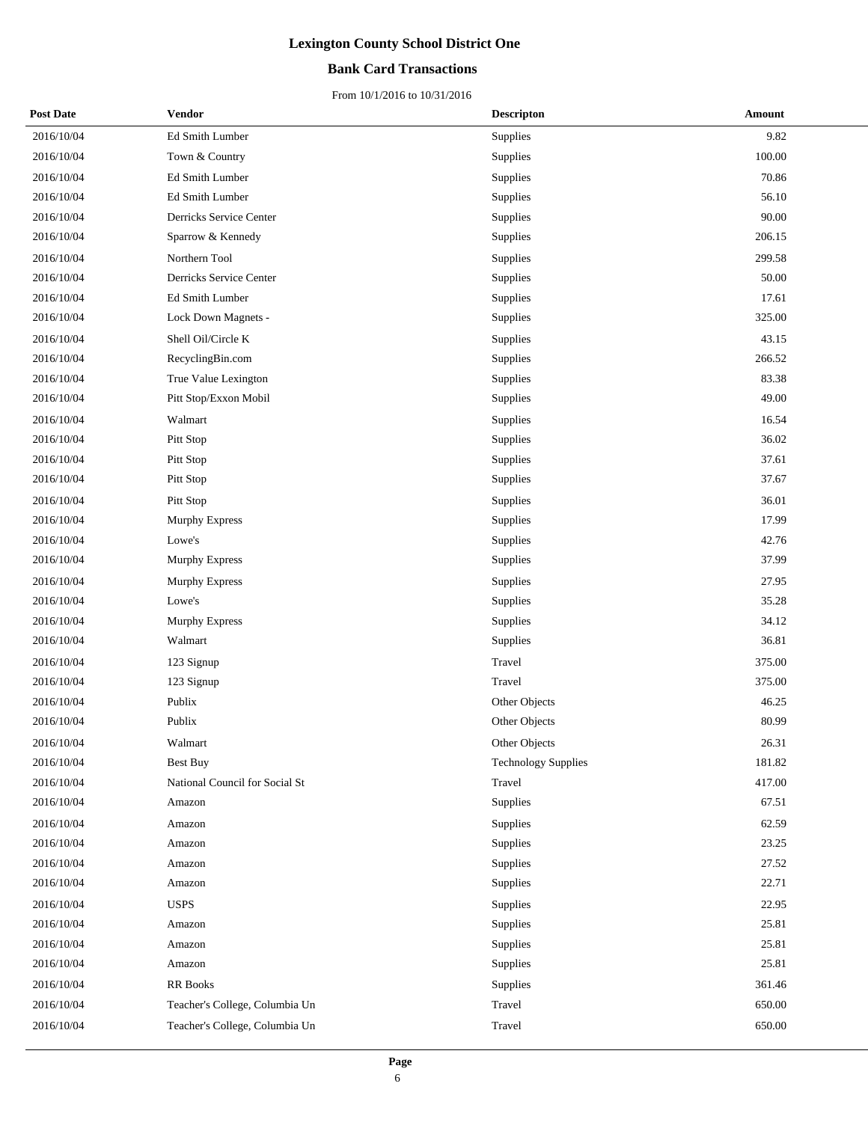### **Bank Card Transactions**

| <b>Post Date</b> | Vendor                         | <b>Descripton</b>          | Amount |
|------------------|--------------------------------|----------------------------|--------|
| 2016/10/04       | Ed Smith Lumber                | Supplies                   | 9.82   |
| 2016/10/04       | Town & Country                 | Supplies                   | 100.00 |
| 2016/10/04       | Ed Smith Lumber                | Supplies                   | 70.86  |
| 2016/10/04       | Ed Smith Lumber                | <b>Supplies</b>            | 56.10  |
| 2016/10/04       | Derricks Service Center        | Supplies                   | 90.00  |
| 2016/10/04       | Sparrow & Kennedy              | Supplies                   | 206.15 |
| 2016/10/04       | Northern Tool                  | Supplies                   | 299.58 |
| 2016/10/04       | Derricks Service Center        | <b>Supplies</b>            | 50.00  |
| 2016/10/04       | Ed Smith Lumber                | Supplies                   | 17.61  |
| 2016/10/04       | Lock Down Magnets -            | Supplies                   | 325.00 |
| 2016/10/04       | Shell Oil/Circle K             | Supplies                   | 43.15  |
| 2016/10/04       | RecyclingBin.com               | <b>Supplies</b>            | 266.52 |
| 2016/10/04       | True Value Lexington           | Supplies                   | 83.38  |
| 2016/10/04       | Pitt Stop/Exxon Mobil          | Supplies                   | 49.00  |
| 2016/10/04       | Walmart                        | Supplies                   | 16.54  |
| 2016/10/04       | Pitt Stop                      | <b>Supplies</b>            | 36.02  |
| 2016/10/04       | Pitt Stop                      | Supplies                   | 37.61  |
| 2016/10/04       | Pitt Stop                      | Supplies                   | 37.67  |
| 2016/10/04       | Pitt Stop                      | Supplies                   | 36.01  |
| 2016/10/04       | Murphy Express                 | <b>Supplies</b>            | 17.99  |
| 2016/10/04       | Lowe's                         | Supplies                   | 42.76  |
| 2016/10/04       | Murphy Express                 | Supplies                   | 37.99  |
| 2016/10/04       | <b>Murphy Express</b>          | Supplies                   | 27.95  |
| 2016/10/04       | Lowe's                         | <b>Supplies</b>            | 35.28  |
| 2016/10/04       | Murphy Express                 | Supplies                   | 34.12  |
| 2016/10/04       | Walmart                        | Supplies                   | 36.81  |
| 2016/10/04       | 123 Signup                     | Travel                     | 375.00 |
| 2016/10/04       | 123 Signup                     | Travel                     | 375.00 |
| 2016/10/04       | Publix                         | Other Objects              | 46.25  |
| 2016/10/04       | Publix                         | Other Objects              | 80.99  |
| 2016/10/04       | Walmart                        | <b>Other Objects</b>       | 26.31  |
| 2016/10/04       | <b>Best Buy</b>                | <b>Technology Supplies</b> | 181.82 |
| 2016/10/04       | National Council for Social St | Travel                     | 417.00 |
| 2016/10/04       | Amazon                         | Supplies                   | 67.51  |
| 2016/10/04       | Amazon                         | Supplies                   | 62.59  |
| 2016/10/04       | Amazon                         | Supplies                   | 23.25  |
| 2016/10/04       | Amazon                         | Supplies                   | 27.52  |
| 2016/10/04       | Amazon                         | Supplies                   | 22.71  |
| 2016/10/04       | <b>USPS</b>                    | Supplies                   | 22.95  |
| 2016/10/04       | Amazon                         | Supplies                   | 25.81  |
| 2016/10/04       | Amazon                         | Supplies                   | 25.81  |
| 2016/10/04       | Amazon                         | Supplies                   | 25.81  |
| 2016/10/04       | <b>RR</b> Books                | Supplies                   | 361.46 |
| 2016/10/04       | Teacher's College, Columbia Un | Travel                     | 650.00 |
| 2016/10/04       | Teacher's College, Columbia Un | Travel                     | 650.00 |
|                  |                                |                            |        |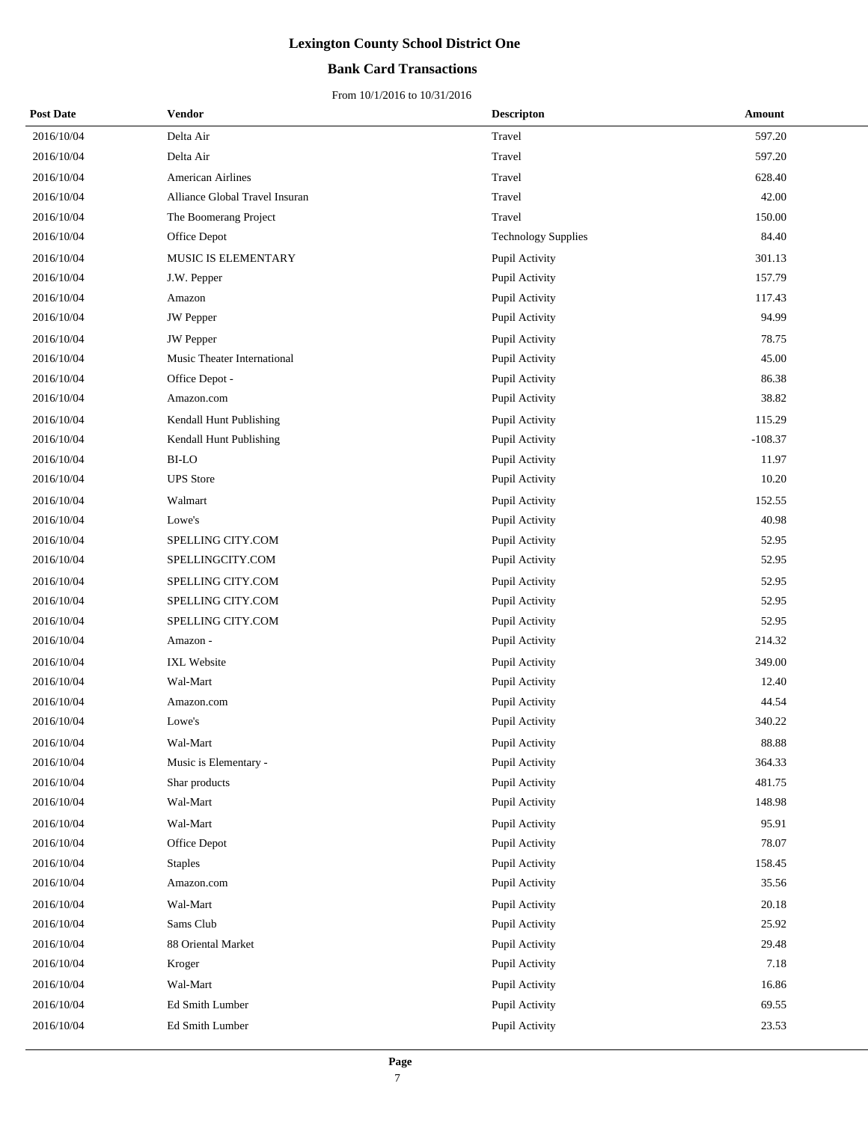### **Bank Card Transactions**

| <b>Post Date</b> | <b>Vendor</b>                  | <b>Descripton</b>          | Amount    |
|------------------|--------------------------------|----------------------------|-----------|
| 2016/10/04       | Delta Air                      | Travel                     | 597.20    |
| 2016/10/04       | Delta Air                      | Travel                     | 597.20    |
| 2016/10/04       | American Airlines              | Travel                     | 628.40    |
| 2016/10/04       | Alliance Global Travel Insuran | Travel                     | 42.00     |
| 2016/10/04       | The Boomerang Project          | Travel                     | 150.00    |
| 2016/10/04       | Office Depot                   | <b>Technology Supplies</b> | 84.40     |
| 2016/10/04       | MUSIC IS ELEMENTARY            | Pupil Activity             | 301.13    |
| 2016/10/04       | J.W. Pepper                    | Pupil Activity             | 157.79    |
| 2016/10/04       | Amazon                         | Pupil Activity             | 117.43    |
| 2016/10/04       | <b>JW</b> Pepper               | Pupil Activity             | 94.99     |
| 2016/10/04       | <b>JW</b> Pepper               | Pupil Activity             | 78.75     |
| 2016/10/04       | Music Theater International    | Pupil Activity             | 45.00     |
| 2016/10/04       | Office Depot -                 | Pupil Activity             | 86.38     |
| 2016/10/04       | Amazon.com                     | Pupil Activity             | 38.82     |
| 2016/10/04       | Kendall Hunt Publishing        | Pupil Activity             | 115.29    |
| 2016/10/04       | Kendall Hunt Publishing        | Pupil Activity             | $-108.37$ |
| 2016/10/04       | <b>BI-LO</b>                   | Pupil Activity             | 11.97     |
| 2016/10/04       | <b>UPS</b> Store               | Pupil Activity             | 10.20     |
| 2016/10/04       | Walmart                        | Pupil Activity             | 152.55    |
| 2016/10/04       | Lowe's                         | Pupil Activity             | 40.98     |
| 2016/10/04       | SPELLING CITY.COM              | Pupil Activity             | 52.95     |
| 2016/10/04       | SPELLINGCITY.COM               | Pupil Activity             | 52.95     |
| 2016/10/04       | SPELLING CITY.COM              | Pupil Activity             | 52.95     |
| 2016/10/04       | SPELLING CITY.COM              | Pupil Activity             | 52.95     |
| 2016/10/04       | SPELLING CITY.COM              | Pupil Activity             | 52.95     |
| 2016/10/04       | Amazon -                       | Pupil Activity             | 214.32    |
| 2016/10/04       | IXL Website                    | Pupil Activity             | 349.00    |
| 2016/10/04       | Wal-Mart                       | Pupil Activity             | 12.40     |
| 2016/10/04       | Amazon.com                     | Pupil Activity             | 44.54     |
| 2016/10/04       | Lowe's                         | Pupil Activity             | 340.22    |
| 2016/10/04       | Wal-Mart                       | Pupil Activity             | 88.88     |
| 2016/10/04       | Music is Elementary -          | Pupil Activity             | 364.33    |
| 2016/10/04       | Shar products                  | Pupil Activity             | 481.75    |
| 2016/10/04       | Wal-Mart                       | Pupil Activity             | 148.98    |
| 2016/10/04       | Wal-Mart                       | Pupil Activity             | 95.91     |
| 2016/10/04       | Office Depot                   | Pupil Activity             | 78.07     |
| 2016/10/04       | <b>Staples</b>                 | Pupil Activity             | 158.45    |
| 2016/10/04       | Amazon.com                     | Pupil Activity             | 35.56     |
| 2016/10/04       | Wal-Mart                       | Pupil Activity             | 20.18     |
| 2016/10/04       | Sams Club                      | Pupil Activity             | 25.92     |
| 2016/10/04       | 88 Oriental Market             | Pupil Activity             | 29.48     |
| 2016/10/04       | Kroger                         | Pupil Activity             | 7.18      |
| 2016/10/04       | Wal-Mart                       | Pupil Activity             | 16.86     |
| 2016/10/04       | Ed Smith Lumber                | Pupil Activity             | 69.55     |
| 2016/10/04       | Ed Smith Lumber                | Pupil Activity             | 23.53     |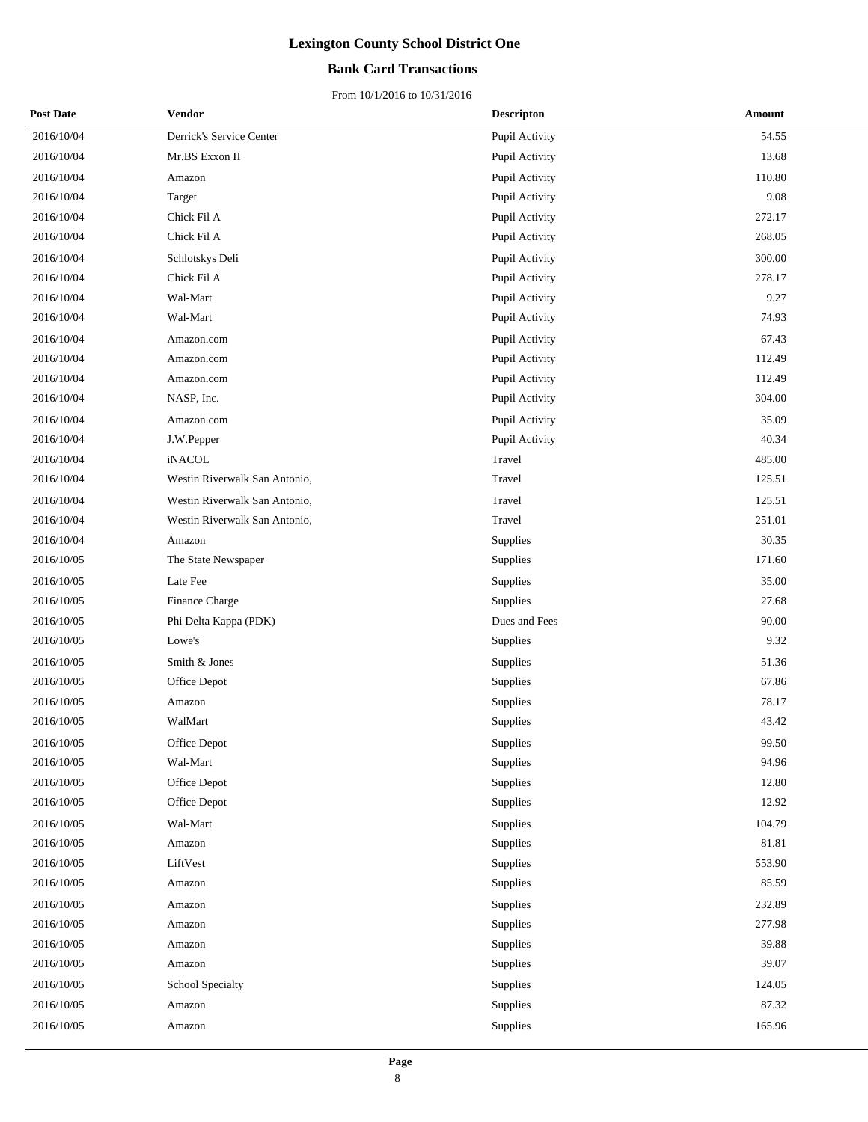### **Bank Card Transactions**

| <b>Post Date</b> | Vendor                        | <b>Descripton</b> | Amount |
|------------------|-------------------------------|-------------------|--------|
| 2016/10/04       | Derrick's Service Center      | Pupil Activity    | 54.55  |
| 2016/10/04       | Mr.BS Exxon II                | Pupil Activity    | 13.68  |
| 2016/10/04       | Amazon                        | Pupil Activity    | 110.80 |
| 2016/10/04       | Target                        | Pupil Activity    | 9.08   |
| 2016/10/04       | Chick Fil A                   | Pupil Activity    | 272.17 |
| 2016/10/04       | Chick Fil A                   | Pupil Activity    | 268.05 |
| 2016/10/04       | Schlotskys Deli               | Pupil Activity    | 300.00 |
| 2016/10/04       | Chick Fil A                   | Pupil Activity    | 278.17 |
| 2016/10/04       | Wal-Mart                      | Pupil Activity    | 9.27   |
| 2016/10/04       | Wal-Mart                      | Pupil Activity    | 74.93  |
| 2016/10/04       | Amazon.com                    | Pupil Activity    | 67.43  |
| 2016/10/04       | Amazon.com                    | Pupil Activity    | 112.49 |
| 2016/10/04       | Amazon.com                    | Pupil Activity    | 112.49 |
| 2016/10/04       | NASP, Inc.                    | Pupil Activity    | 304.00 |
| 2016/10/04       | Amazon.com                    | Pupil Activity    | 35.09  |
| 2016/10/04       | J.W.Pepper                    | Pupil Activity    | 40.34  |
| 2016/10/04       | iNACOL                        | Travel            | 485.00 |
| 2016/10/04       | Westin Riverwalk San Antonio, | Travel            | 125.51 |
| 2016/10/04       | Westin Riverwalk San Antonio, | Travel            | 125.51 |
| 2016/10/04       | Westin Riverwalk San Antonio, | Travel            | 251.01 |
| 2016/10/04       | Amazon                        | Supplies          | 30.35  |
| 2016/10/05       | The State Newspaper           | Supplies          | 171.60 |
| 2016/10/05       | Late Fee                      | Supplies          | 35.00  |
| 2016/10/05       | Finance Charge                | Supplies          | 27.68  |
| 2016/10/05       | Phi Delta Kappa (PDK)         | Dues and Fees     | 90.00  |
| 2016/10/05       | Lowe's                        | Supplies          | 9.32   |
| 2016/10/05       | Smith & Jones                 | Supplies          | 51.36  |
| 2016/10/05       | Office Depot                  | <b>Supplies</b>   | 67.86  |
| 2016/10/05       | Amazon                        | Supplies          | 78.17  |
| 2016/10/05       | WalMart                       | Supplies          | 43.42  |
| 2016/10/05       | Office Depot                  | Supplies          | 99.50  |
| 2016/10/05       | Wal-Mart                      | Supplies          | 94.96  |
| 2016/10/05       | Office Depot                  | Supplies          | 12.80  |
| 2016/10/05       | Office Depot                  | Supplies          | 12.92  |
| 2016/10/05       | Wal-Mart                      | Supplies          | 104.79 |
| 2016/10/05       | Amazon                        | Supplies          | 81.81  |
| 2016/10/05       | LiftVest                      | Supplies          | 553.90 |
| 2016/10/05       | Amazon                        | Supplies          | 85.59  |
| 2016/10/05       | Amazon                        | Supplies          | 232.89 |
| 2016/10/05       | Amazon                        | Supplies          | 277.98 |
| 2016/10/05       | Amazon                        | Supplies          | 39.88  |
| 2016/10/05       | Amazon                        | Supplies          | 39.07  |
| 2016/10/05       | School Specialty              | Supplies          | 124.05 |
| 2016/10/05       | Amazon                        | Supplies          | 87.32  |
| 2016/10/05       | Amazon                        | Supplies          | 165.96 |
|                  |                               |                   |        |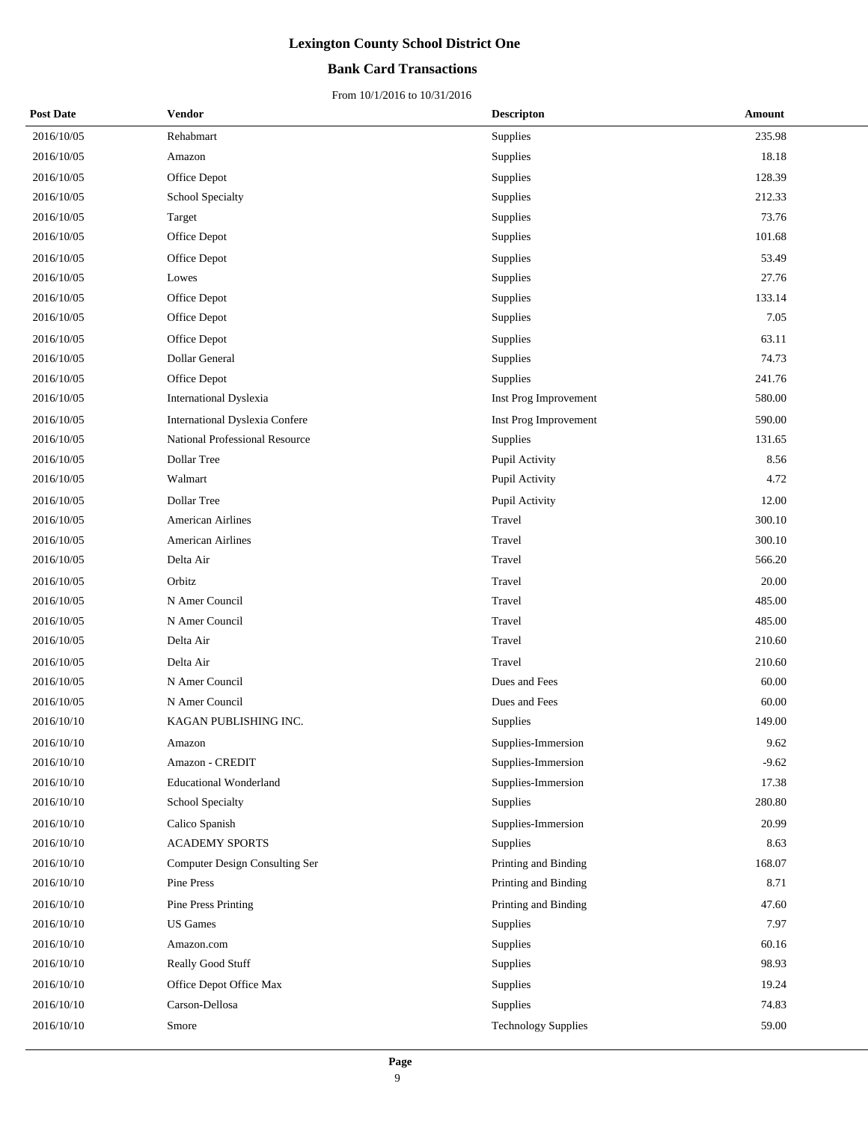### **Bank Card Transactions**

| <b>Post Date</b> | Vendor                                | <b>Descripton</b>          | Amount  |  |
|------------------|---------------------------------------|----------------------------|---------|--|
| 2016/10/05       | Rehabmart                             | <b>Supplies</b>            | 235.98  |  |
| 2016/10/05       | Amazon                                | Supplies                   | 18.18   |  |
| 2016/10/05       | Office Depot                          | Supplies                   | 128.39  |  |
| 2016/10/05       | School Specialty                      | Supplies                   | 212.33  |  |
| 2016/10/05       | Target                                | Supplies                   | 73.76   |  |
| 2016/10/05       | Office Depot                          | Supplies                   | 101.68  |  |
| 2016/10/05       | Office Depot                          | Supplies                   | 53.49   |  |
| 2016/10/05       | Lowes                                 | Supplies                   | 27.76   |  |
| 2016/10/05       | Office Depot                          | Supplies                   | 133.14  |  |
| 2016/10/05       | Office Depot                          | Supplies                   | 7.05    |  |
| 2016/10/05       | Office Depot                          | Supplies                   | 63.11   |  |
| 2016/10/05       | Dollar General                        | Supplies                   | 74.73   |  |
| 2016/10/05       | Office Depot                          | Supplies                   | 241.76  |  |
| 2016/10/05       | International Dyslexia                | Inst Prog Improvement      | 580.00  |  |
| 2016/10/05       | <b>International Dyslexia Confere</b> | Inst Prog Improvement      | 590.00  |  |
| 2016/10/05       | National Professional Resource        | Supplies                   | 131.65  |  |
| 2016/10/05       | Dollar Tree                           | Pupil Activity             | 8.56    |  |
| 2016/10/05       | Walmart                               | Pupil Activity             | 4.72    |  |
| 2016/10/05       | Dollar Tree                           | Pupil Activity             | 12.00   |  |
| 2016/10/05       | <b>American Airlines</b>              | Travel                     | 300.10  |  |
| 2016/10/05       | <b>American Airlines</b>              | Travel                     | 300.10  |  |
| 2016/10/05       | Delta Air                             | Travel                     | 566.20  |  |
| 2016/10/05       | Orbitz                                | Travel                     | 20.00   |  |
| 2016/10/05       | N Amer Council                        | Travel                     | 485.00  |  |
| 2016/10/05       | N Amer Council                        | Travel                     | 485.00  |  |
| 2016/10/05       | Delta Air                             | Travel                     | 210.60  |  |
| 2016/10/05       | Delta Air                             | Travel                     | 210.60  |  |
| 2016/10/05       | N Amer Council                        | Dues and Fees              | 60.00   |  |
| 2016/10/05       | N Amer Council                        | Dues and Fees              | 60.00   |  |
| 2016/10/10       | KAGAN PUBLISHING INC.                 | Supplies                   | 149.00  |  |
| 2016/10/10       | Amazon                                | Supplies-Immersion         | 9.62    |  |
| 2016/10/10       | Amazon - CREDIT                       | Supplies-Immersion         | $-9.62$ |  |
| 2016/10/10       | <b>Educational Wonderland</b>         | Supplies-Immersion         | 17.38   |  |
| 2016/10/10       | School Specialty                      | Supplies                   | 280.80  |  |
| 2016/10/10       | Calico Spanish                        | Supplies-Immersion         | 20.99   |  |
| 2016/10/10       | <b>ACADEMY SPORTS</b>                 | Supplies                   | 8.63    |  |
| 2016/10/10       | Computer Design Consulting Ser        | Printing and Binding       | 168.07  |  |
| 2016/10/10       | Pine Press                            | Printing and Binding       | 8.71    |  |
| 2016/10/10       | Pine Press Printing                   | Printing and Binding       | 47.60   |  |
| 2016/10/10       | <b>US</b> Games                       | Supplies                   | 7.97    |  |
| 2016/10/10       | Amazon.com                            | Supplies                   | 60.16   |  |
| 2016/10/10       | Really Good Stuff                     | Supplies                   | 98.93   |  |
| 2016/10/10       | Office Depot Office Max               | Supplies                   | 19.24   |  |
| 2016/10/10       | Carson-Dellosa                        | Supplies                   | 74.83   |  |
| 2016/10/10       | Smore                                 | <b>Technology Supplies</b> | 59.00   |  |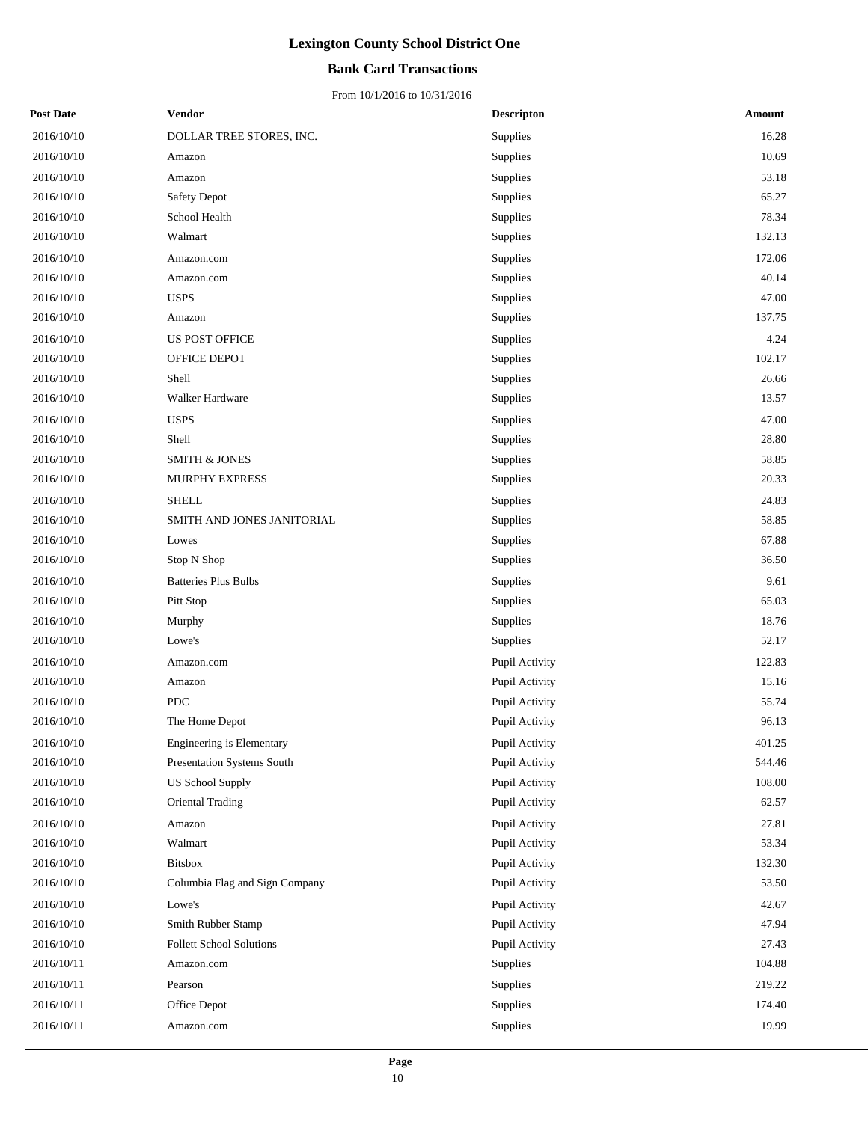### **Bank Card Transactions**

| <b>Post Date</b> | <b>Vendor</b>                     | <b>Descripton</b> | Amount     |
|------------------|-----------------------------------|-------------------|------------|
| 2016/10/10       | DOLLAR TREE STORES, INC.          | Supplies          | 16.28      |
| 2016/10/10       | Amazon                            | Supplies          | 10.69      |
| 2016/10/10       | Amazon                            | Supplies          | 53.18      |
| 2016/10/10       | Safety Depot                      | Supplies          | 65.27      |
| 2016/10/10       | School Health                     | Supplies          | 78.34      |
| 2016/10/10       | Walmart                           | Supplies          | 132.13     |
| 2016/10/10       | Amazon.com                        | Supplies          | 172.06     |
| 2016/10/10       | Amazon.com                        | Supplies          | 40.14      |
| 2016/10/10       | <b>USPS</b>                       | Supplies          | 47.00      |
| 2016/10/10       | Amazon                            | Supplies          | 137.75     |
| 2016/10/10       | <b>US POST OFFICE</b>             | Supplies          | 4.24       |
| 2016/10/10       | OFFICE DEPOT                      | Supplies          | 102.17     |
| 2016/10/10       | Shell                             | Supplies          | 26.66      |
| 2016/10/10       | Walker Hardware                   | Supplies          | 13.57      |
| 2016/10/10       | <b>USPS</b>                       | Supplies          | 47.00      |
| 2016/10/10       | Shell                             | Supplies          | 28.80      |
| 2016/10/10       | <b>SMITH &amp; JONES</b>          | Supplies          | 58.85      |
| 2016/10/10       | MURPHY EXPRESS                    | Supplies          | 20.33      |
| 2016/10/10       | <b>SHELL</b>                      | Supplies          | 24.83      |
| 2016/10/10       | SMITH AND JONES JANITORIAL        | Supplies          | 58.85      |
| 2016/10/10       | Lowes                             | Supplies          | 67.88      |
| 2016/10/10       | Stop N Shop                       | Supplies          | 36.50      |
| 2016/10/10       | <b>Batteries Plus Bulbs</b>       | Supplies          | 9.61       |
| 2016/10/10       | Pitt Stop                         | Supplies          | 65.03      |
| 2016/10/10       | Murphy                            | Supplies          | 18.76      |
| 2016/10/10       | Lowe's                            | Supplies          | 52.17      |
| 2016/10/10       | Amazon.com                        | Pupil Activity    | 122.83     |
| 2016/10/10       | Amazon                            | Pupil Activity    | 15.16      |
| 2016/10/10       | <b>PDC</b>                        | Pupil Activity    | 55.74      |
| 2016/10/10       | The Home Depot                    | Pupil Activity    | 96.13      |
| 2016/10/10       | Engineering is Elementary         | Pupil Activity    | 401.25     |
| 2016/10/10       | <b>Presentation Systems South</b> | Pupil Activity    | 544.46     |
| 2016/10/10       | <b>US School Supply</b>           | Pupil Activity    | $108.00\,$ |
| 2016/10/10       | Oriental Trading                  | Pupil Activity    | 62.57      |
| 2016/10/10       | Amazon                            | Pupil Activity    | 27.81      |
| 2016/10/10       | Walmart                           | Pupil Activity    | 53.34      |
| 2016/10/10       | <b>Bitsbox</b>                    | Pupil Activity    | 132.30     |
| 2016/10/10       | Columbia Flag and Sign Company    | Pupil Activity    | 53.50      |
| 2016/10/10       | Lowe's                            | Pupil Activity    | 42.67      |
| 2016/10/10       | Smith Rubber Stamp                | Pupil Activity    | 47.94      |
| 2016/10/10       | Follett School Solutions          | Pupil Activity    | 27.43      |
| 2016/10/11       | Amazon.com                        | Supplies          | 104.88     |
| 2016/10/11       | Pearson                           | Supplies          | 219.22     |
| 2016/10/11       | Office Depot                      | Supplies          | 174.40     |
| 2016/10/11       | Amazon.com                        | Supplies          | 19.99      |
|                  |                                   |                   |            |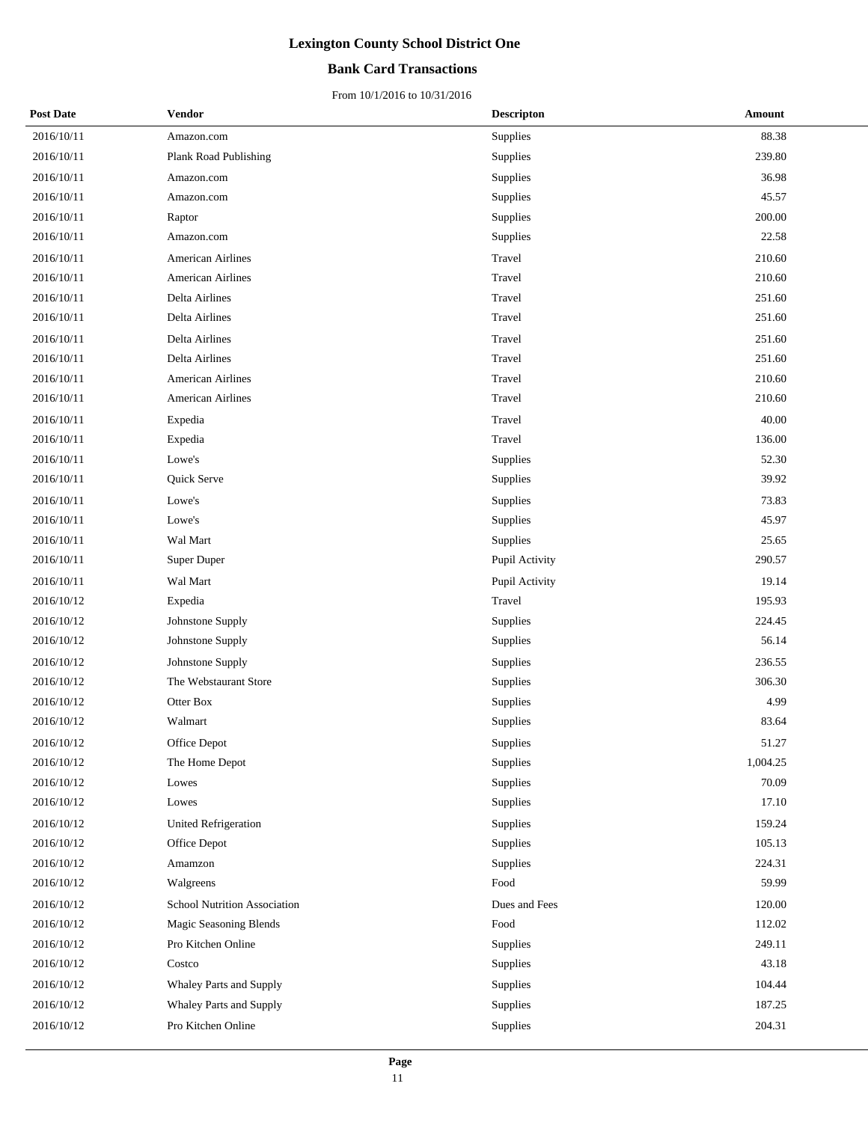### **Bank Card Transactions**

| <b>Post Date</b> | Vendor                       | <b>Descripton</b> | Amount   |
|------------------|------------------------------|-------------------|----------|
| 2016/10/11       | Amazon.com                   | Supplies          | 88.38    |
| 2016/10/11       | Plank Road Publishing        | Supplies          | 239.80   |
| 2016/10/11       | Amazon.com                   | Supplies          | 36.98    |
| 2016/10/11       | Amazon.com                   | Supplies          | 45.57    |
| 2016/10/11       | Raptor                       | Supplies          | 200.00   |
| 2016/10/11       | Amazon.com                   | Supplies          | 22.58    |
| 2016/10/11       | <b>American Airlines</b>     | Travel            | 210.60   |
| 2016/10/11       | <b>American Airlines</b>     | Travel            | 210.60   |
| 2016/10/11       | Delta Airlines               | Travel            | 251.60   |
| 2016/10/11       | Delta Airlines               | Travel            | 251.60   |
| 2016/10/11       | Delta Airlines               | Travel            | 251.60   |
| 2016/10/11       | Delta Airlines               | Travel            | 251.60   |
| 2016/10/11       | <b>American Airlines</b>     | Travel            | 210.60   |
| 2016/10/11       | <b>American Airlines</b>     | Travel            | 210.60   |
| 2016/10/11       | Expedia                      | Travel            | 40.00    |
| 2016/10/11       | Expedia                      | Travel            | 136.00   |
| 2016/10/11       | Lowe's                       | Supplies          | 52.30    |
| 2016/10/11       | Quick Serve                  | Supplies          | 39.92    |
| 2016/10/11       | Lowe's                       | Supplies          | 73.83    |
| 2016/10/11       | Lowe's                       | Supplies          | 45.97    |
| 2016/10/11       | Wal Mart                     | Supplies          | 25.65    |
| 2016/10/11       | Super Duper                  | Pupil Activity    | 290.57   |
| 2016/10/11       | Wal Mart                     | Pupil Activity    | 19.14    |
| 2016/10/12       | Expedia                      | Travel            | 195.93   |
| 2016/10/12       | Johnstone Supply             | Supplies          | 224.45   |
| 2016/10/12       | Johnstone Supply             | Supplies          | 56.14    |
| 2016/10/12       | Johnstone Supply             | Supplies          | 236.55   |
| 2016/10/12       | The Webstaurant Store        | Supplies          | 306.30   |
| 2016/10/12       | Otter Box                    | Supplies          | 4.99     |
| 2016/10/12       | Walmart                      | Supplies          | 83.64    |
| 2016/10/12       | Office Depot                 | Supplies          | 51.27    |
| 2016/10/12       | The Home Depot               | Supplies          | 1,004.25 |
| 2016/10/12       | Lowes                        | Supplies          | 70.09    |
| 2016/10/12       | Lowes                        | Supplies          | 17.10    |
| 2016/10/12       | United Refrigeration         | Supplies          | 159.24   |
| 2016/10/12       | Office Depot                 | Supplies          | 105.13   |
| 2016/10/12       | Amamzon                      | Supplies          | 224.31   |
| 2016/10/12       | Walgreens                    | Food              | 59.99    |
| 2016/10/12       | School Nutrition Association | Dues and Fees     | 120.00   |
| 2016/10/12       | Magic Seasoning Blends       | Food              | 112.02   |
| 2016/10/12       | Pro Kitchen Online           | Supplies          | 249.11   |
| 2016/10/12       | Costco                       | Supplies          | 43.18    |
| 2016/10/12       | Whaley Parts and Supply      | Supplies          | 104.44   |
| 2016/10/12       | Whaley Parts and Supply      | Supplies          | 187.25   |
| 2016/10/12       | Pro Kitchen Online           | Supplies          | 204.31   |
|                  |                              |                   |          |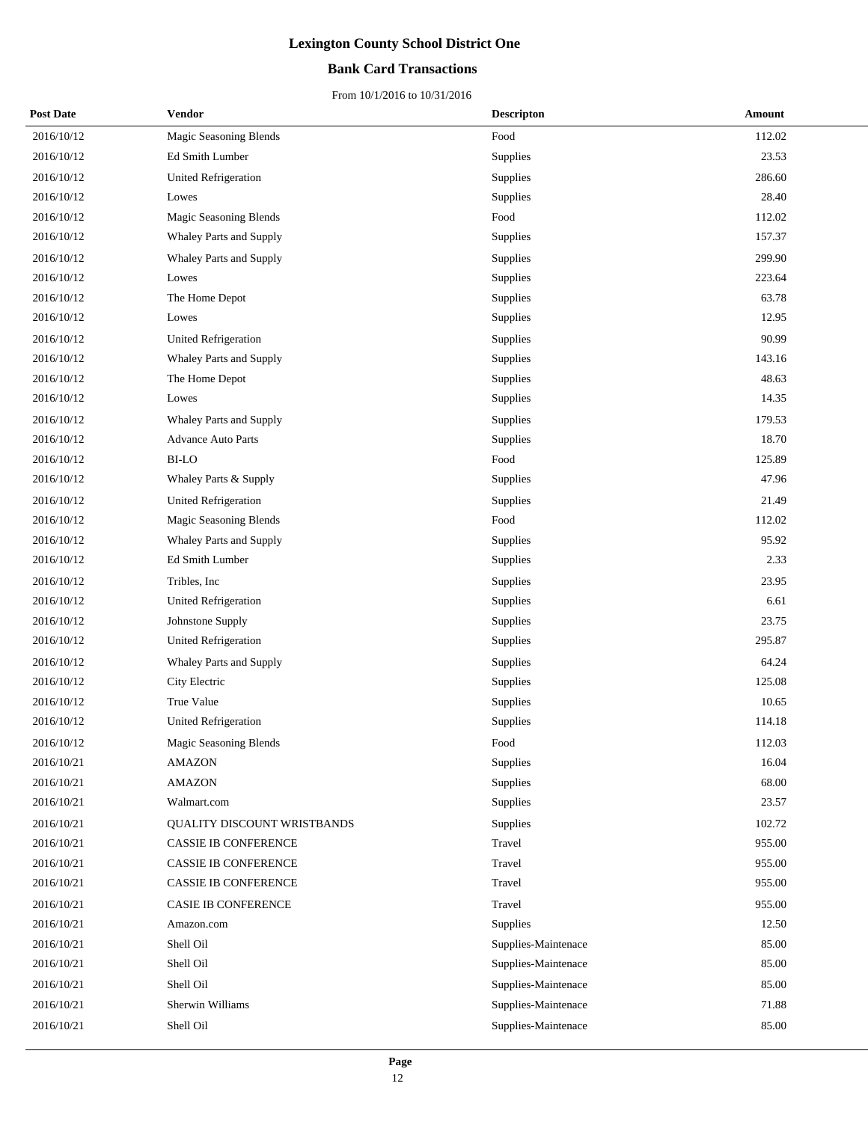### **Bank Card Transactions**

| <b>Post Date</b> | Vendor                         | <b>Descripton</b>   | <b>Amount</b> |
|------------------|--------------------------------|---------------------|---------------|
| 2016/10/12       | Magic Seasoning Blends         | Food                | 112.02        |
| 2016/10/12       | Ed Smith Lumber                | Supplies            | 23.53         |
| 2016/10/12       | <b>United Refrigeration</b>    | Supplies            | 286.60        |
| 2016/10/12       | Lowes                          | Supplies            | 28.40         |
| 2016/10/12       | Magic Seasoning Blends         | Food                | 112.02        |
| 2016/10/12       | Whaley Parts and Supply        | Supplies            | 157.37        |
| 2016/10/12       | <b>Whaley Parts and Supply</b> | Supplies            | 299.90        |
| 2016/10/12       | Lowes                          | Supplies            | 223.64        |
| 2016/10/12       | The Home Depot                 | Supplies            | 63.78         |
| 2016/10/12       | Lowes                          | Supplies            | 12.95         |
| 2016/10/12       | United Refrigeration           | Supplies            | 90.99         |
| 2016/10/12       | Whaley Parts and Supply        | Supplies            | 143.16        |
| 2016/10/12       | The Home Depot                 | Supplies            | 48.63         |
| 2016/10/12       | Lowes                          | Supplies            | 14.35         |
| 2016/10/12       | Whaley Parts and Supply        | Supplies            | 179.53        |
| 2016/10/12       | <b>Advance Auto Parts</b>      | Supplies            | 18.70         |
| 2016/10/12       | <b>BI-LO</b>                   | Food                | 125.89        |
| 2016/10/12       | Whaley Parts & Supply          | Supplies            | 47.96         |
| 2016/10/12       | <b>United Refrigeration</b>    | Supplies            | 21.49         |
| 2016/10/12       | Magic Seasoning Blends         | Food                | 112.02        |
| 2016/10/12       | Whaley Parts and Supply        | Supplies            | 95.92         |
| 2016/10/12       | Ed Smith Lumber                | Supplies            | 2.33          |
| 2016/10/12       | Tribles, Inc.                  | Supplies            | 23.95         |
| 2016/10/12       | United Refrigeration           | Supplies            | 6.61          |
| 2016/10/12       | Johnstone Supply               | Supplies            | 23.75         |
| 2016/10/12       | United Refrigeration           | Supplies            | 295.87        |
| 2016/10/12       | Whaley Parts and Supply        | Supplies            | 64.24         |
| 2016/10/12       | City Electric                  | Supplies            | 125.08        |
| 2016/10/12       | True Value                     | Supplies            | 10.65         |
| 2016/10/12       | <b>United Refrigeration</b>    | Supplies            | 114.18        |
| 2016/10/12       | Magic Seasoning Blends         | Food                | 112.03        |
| 2016/10/21       | <b>AMAZON</b>                  | Supplies            | 16.04         |
| 2016/10/21       | <b>AMAZON</b>                  | Supplies            | 68.00         |
| 2016/10/21       | Walmart.com                    | Supplies            | 23.57         |
| 2016/10/21       | QUALITY DISCOUNT WRISTBANDS    | Supplies            | 102.72        |
| 2016/10/21       | <b>CASSIE IB CONFERENCE</b>    | Travel              | 955.00        |
| 2016/10/21       | CASSIE IB CONFERENCE           | Travel              | 955.00        |
| 2016/10/21       | CASSIE IB CONFERENCE           | Travel              | 955.00        |
| 2016/10/21       | CASIE IB CONFERENCE            | Travel              | 955.00        |
| 2016/10/21       | Amazon.com                     | Supplies            | 12.50         |
| 2016/10/21       | Shell Oil                      | Supplies-Maintenace | 85.00         |
| 2016/10/21       | Shell Oil                      | Supplies-Maintenace | 85.00         |
| 2016/10/21       | Shell Oil                      | Supplies-Maintenace | 85.00         |
| 2016/10/21       | Sherwin Williams               | Supplies-Maintenace | 71.88         |
| 2016/10/21       | Shell Oil                      | Supplies-Maintenace | 85.00         |
|                  |                                |                     |               |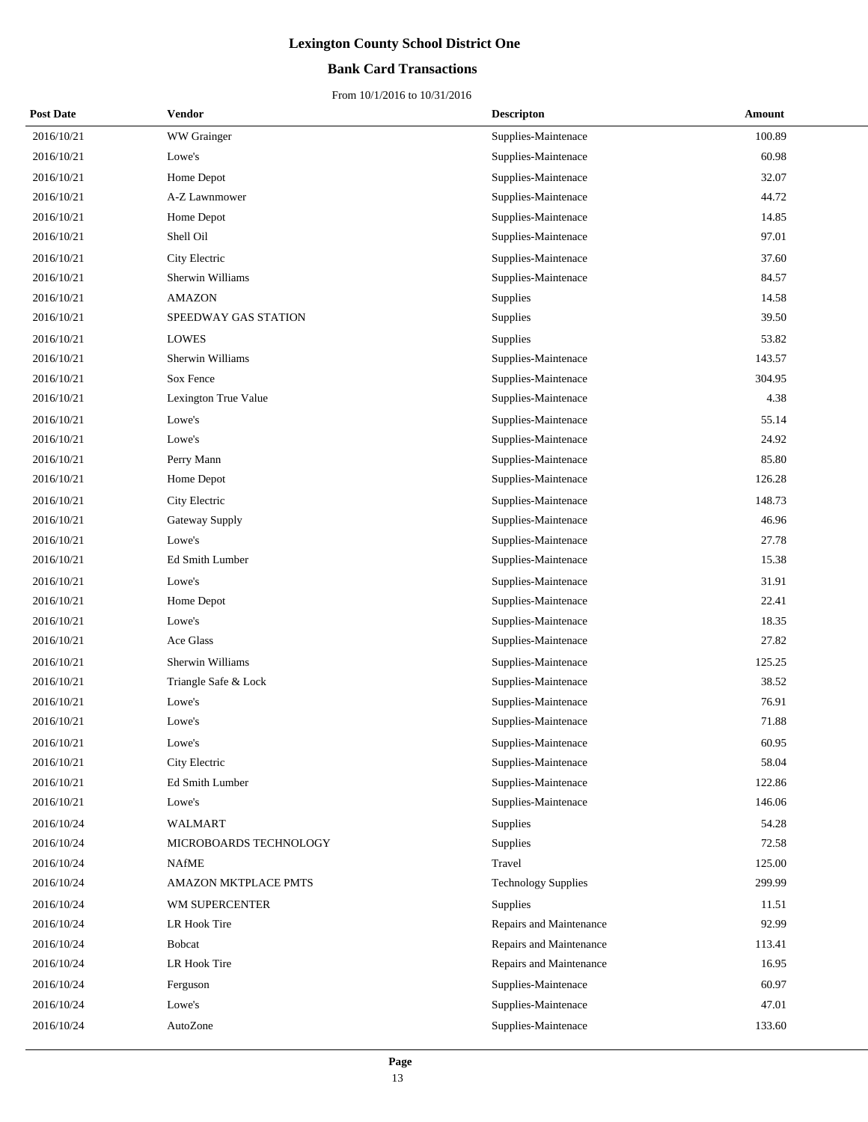### **Bank Card Transactions**

| <b>Post Date</b> | <b>Vendor</b>          | <b>Descripton</b>          | Amount |
|------------------|------------------------|----------------------------|--------|
| 2016/10/21       | WW Grainger            | Supplies-Maintenace        | 100.89 |
| 2016/10/21       | Lowe's                 | Supplies-Maintenace        | 60.98  |
| 2016/10/21       | Home Depot             | Supplies-Maintenace        | 32.07  |
| 2016/10/21       | A-Z Lawnmower          | Supplies-Maintenace        | 44.72  |
| 2016/10/21       | Home Depot             | Supplies-Maintenace        | 14.85  |
| 2016/10/21       | Shell Oil              | Supplies-Maintenace        | 97.01  |
| 2016/10/21       | City Electric          | Supplies-Maintenace        | 37.60  |
| 2016/10/21       | Sherwin Williams       | Supplies-Maintenace        | 84.57  |
| 2016/10/21       | <b>AMAZON</b>          | Supplies                   | 14.58  |
| 2016/10/21       | SPEEDWAY GAS STATION   | Supplies                   | 39.50  |
| 2016/10/21       | <b>LOWES</b>           | <b>Supplies</b>            | 53.82  |
| 2016/10/21       | Sherwin Williams       | Supplies-Maintenace        | 143.57 |
| 2016/10/21       | Sox Fence              | Supplies-Maintenace        | 304.95 |
| 2016/10/21       | Lexington True Value   | Supplies-Maintenace        | 4.38   |
| 2016/10/21       | Lowe's                 | Supplies-Maintenace        | 55.14  |
| 2016/10/21       | Lowe's                 | Supplies-Maintenace        | 24.92  |
| 2016/10/21       | Perry Mann             | Supplies-Maintenace        | 85.80  |
| 2016/10/21       | Home Depot             | Supplies-Maintenace        | 126.28 |
| 2016/10/21       | City Electric          | Supplies-Maintenace        | 148.73 |
| 2016/10/21       | Gateway Supply         | Supplies-Maintenace        | 46.96  |
| 2016/10/21       | Lowe's                 | Supplies-Maintenace        | 27.78  |
| 2016/10/21       | Ed Smith Lumber        | Supplies-Maintenace        | 15.38  |
| 2016/10/21       | Lowe's                 | Supplies-Maintenace        | 31.91  |
| 2016/10/21       | Home Depot             | Supplies-Maintenace        | 22.41  |
| 2016/10/21       | Lowe's                 | Supplies-Maintenace        | 18.35  |
| 2016/10/21       | Ace Glass              | Supplies-Maintenace        | 27.82  |
| 2016/10/21       | Sherwin Williams       | Supplies-Maintenace        | 125.25 |
| 2016/10/21       | Triangle Safe & Lock   | Supplies-Maintenace        | 38.52  |
| 2016/10/21       | Lowe's                 | Supplies-Maintenace        | 76.91  |
| 2016/10/21       | Lowe's                 | Supplies-Maintenace        | 71.88  |
| 2016/10/21       | Lowe's                 | Supplies-Maintenace        | 60.95  |
| 2016/10/21       | City Electric          | Supplies-Maintenace        | 58.04  |
| 2016/10/21       | Ed Smith Lumber        | Supplies-Maintenace        | 122.86 |
| 2016/10/21       | Lowe's                 | Supplies-Maintenace        | 146.06 |
| 2016/10/24       | <b>WALMART</b>         | Supplies                   | 54.28  |
| 2016/10/24       | MICROBOARDS TECHNOLOGY | Supplies                   | 72.58  |
| 2016/10/24       | <b>NAfME</b>           | Travel                     | 125.00 |
| 2016/10/24       | AMAZON MKTPLACE PMTS   | <b>Technology Supplies</b> | 299.99 |
| 2016/10/24       | WM SUPERCENTER         | Supplies                   | 11.51  |
| 2016/10/24       | LR Hook Tire           | Repairs and Maintenance    | 92.99  |
| 2016/10/24       | <b>Bobcat</b>          | Repairs and Maintenance    | 113.41 |
| 2016/10/24       | LR Hook Tire           | Repairs and Maintenance    | 16.95  |
| 2016/10/24       | Ferguson               | Supplies-Maintenace        | 60.97  |
| 2016/10/24       | Lowe's                 | Supplies-Maintenace        | 47.01  |
| 2016/10/24       | AutoZone               | Supplies-Maintenace        | 133.60 |
|                  |                        |                            |        |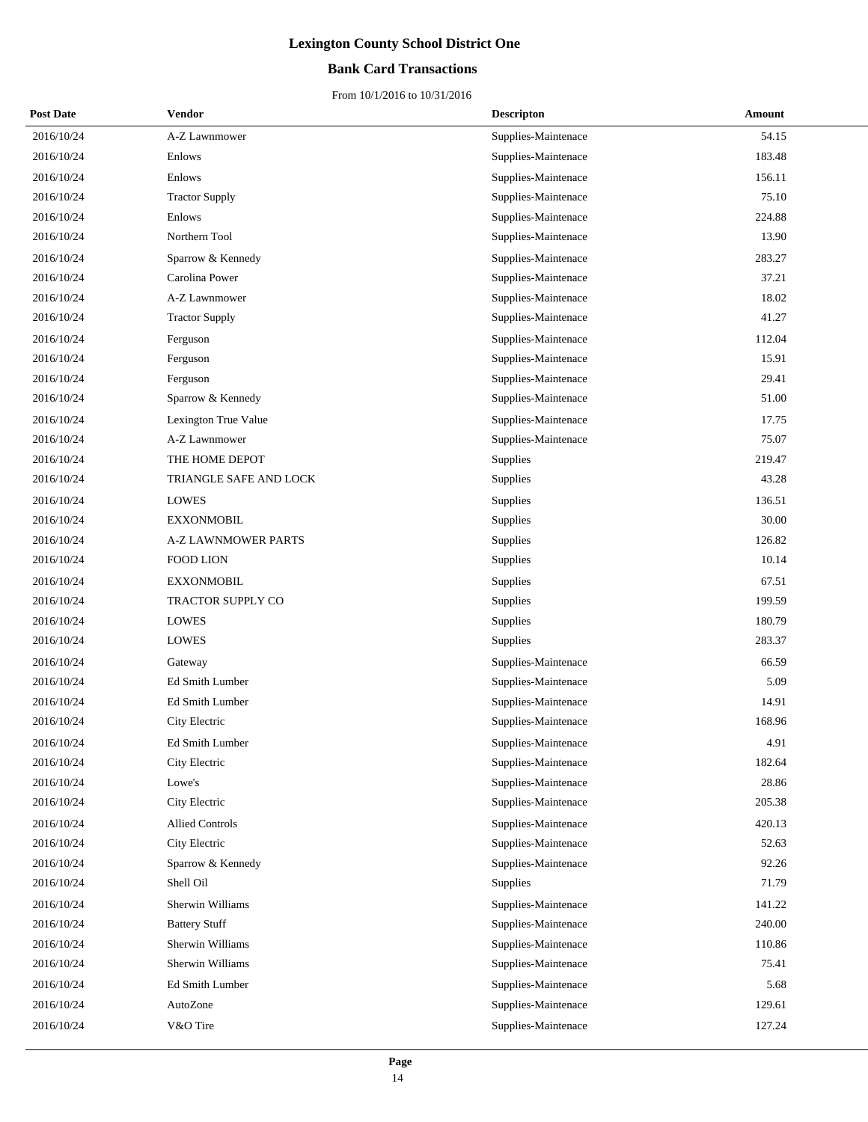### **Bank Card Transactions**

| <b>Post Date</b> | Vendor                     | <b>Descripton</b>   | Amount |
|------------------|----------------------------|---------------------|--------|
| 2016/10/24       | A-Z Lawnmower              | Supplies-Maintenace | 54.15  |
| 2016/10/24       | Enlows                     | Supplies-Maintenace | 183.48 |
| 2016/10/24       | Enlows                     | Supplies-Maintenace | 156.11 |
| 2016/10/24       | <b>Tractor Supply</b>      | Supplies-Maintenace | 75.10  |
| 2016/10/24       | Enlows                     | Supplies-Maintenace | 224.88 |
| 2016/10/24       | Northern Tool              | Supplies-Maintenace | 13.90  |
| 2016/10/24       | Sparrow & Kennedy          | Supplies-Maintenace | 283.27 |
| 2016/10/24       | Carolina Power             | Supplies-Maintenace | 37.21  |
| 2016/10/24       | A-Z Lawnmower              | Supplies-Maintenace | 18.02  |
| 2016/10/24       | <b>Tractor Supply</b>      | Supplies-Maintenace | 41.27  |
| 2016/10/24       | Ferguson                   | Supplies-Maintenace | 112.04 |
| 2016/10/24       | Ferguson                   | Supplies-Maintenace | 15.91  |
| 2016/10/24       | Ferguson                   | Supplies-Maintenace | 29.41  |
| 2016/10/24       | Sparrow & Kennedy          | Supplies-Maintenace | 51.00  |
| 2016/10/24       | Lexington True Value       | Supplies-Maintenace | 17.75  |
| 2016/10/24       | A-Z Lawnmower              | Supplies-Maintenace | 75.07  |
| 2016/10/24       | THE HOME DEPOT             | Supplies            | 219.47 |
| 2016/10/24       | TRIANGLE SAFE AND LOCK     | Supplies            | 43.28  |
| 2016/10/24       | <b>LOWES</b>               | Supplies            | 136.51 |
| 2016/10/24       | <b>EXXONMOBIL</b>          | Supplies            | 30.00  |
| 2016/10/24       | <b>A-Z LAWNMOWER PARTS</b> | Supplies            | 126.82 |
| 2016/10/24       | <b>FOOD LION</b>           | Supplies            | 10.14  |
| 2016/10/24       | <b>EXXONMOBIL</b>          | Supplies            | 67.51  |
| 2016/10/24       | TRACTOR SUPPLY CO          | Supplies            | 199.59 |
| 2016/10/24       | LOWES                      | Supplies            | 180.79 |
| 2016/10/24       | <b>LOWES</b>               | Supplies            | 283.37 |
| 2016/10/24       | Gateway                    | Supplies-Maintenace | 66.59  |
| 2016/10/24       | <b>Ed Smith Lumber</b>     | Supplies-Maintenace | 5.09   |
| 2016/10/24       | Ed Smith Lumber            | Supplies-Maintenace | 14.91  |
| 2016/10/24       | City Electric              | Supplies-Maintenace | 168.96 |
| 2016/10/24       | Ed Smith Lumber            | Supplies-Maintenace | 4.91   |
| 2016/10/24       | City Electric              | Supplies-Maintenace | 182.64 |
| 2016/10/24       | Lowe's                     | Supplies-Maintenace | 28.86  |
| 2016/10/24       | City Electric              | Supplies-Maintenace | 205.38 |
| 2016/10/24       | <b>Allied Controls</b>     | Supplies-Maintenace | 420.13 |
| 2016/10/24       | City Electric              | Supplies-Maintenace | 52.63  |
| 2016/10/24       | Sparrow & Kennedy          | Supplies-Maintenace | 92.26  |
| 2016/10/24       | Shell Oil                  | Supplies            | 71.79  |
| 2016/10/24       | Sherwin Williams           | Supplies-Maintenace | 141.22 |
| 2016/10/24       | <b>Battery Stuff</b>       | Supplies-Maintenace | 240.00 |
| 2016/10/24       | Sherwin Williams           | Supplies-Maintenace | 110.86 |
| 2016/10/24       | Sherwin Williams           | Supplies-Maintenace | 75.41  |
| 2016/10/24       | Ed Smith Lumber            | Supplies-Maintenace | 5.68   |
| 2016/10/24       | AutoZone                   | Supplies-Maintenace | 129.61 |
| 2016/10/24       | V&O Tire                   | Supplies-Maintenace | 127.24 |
|                  |                            |                     |        |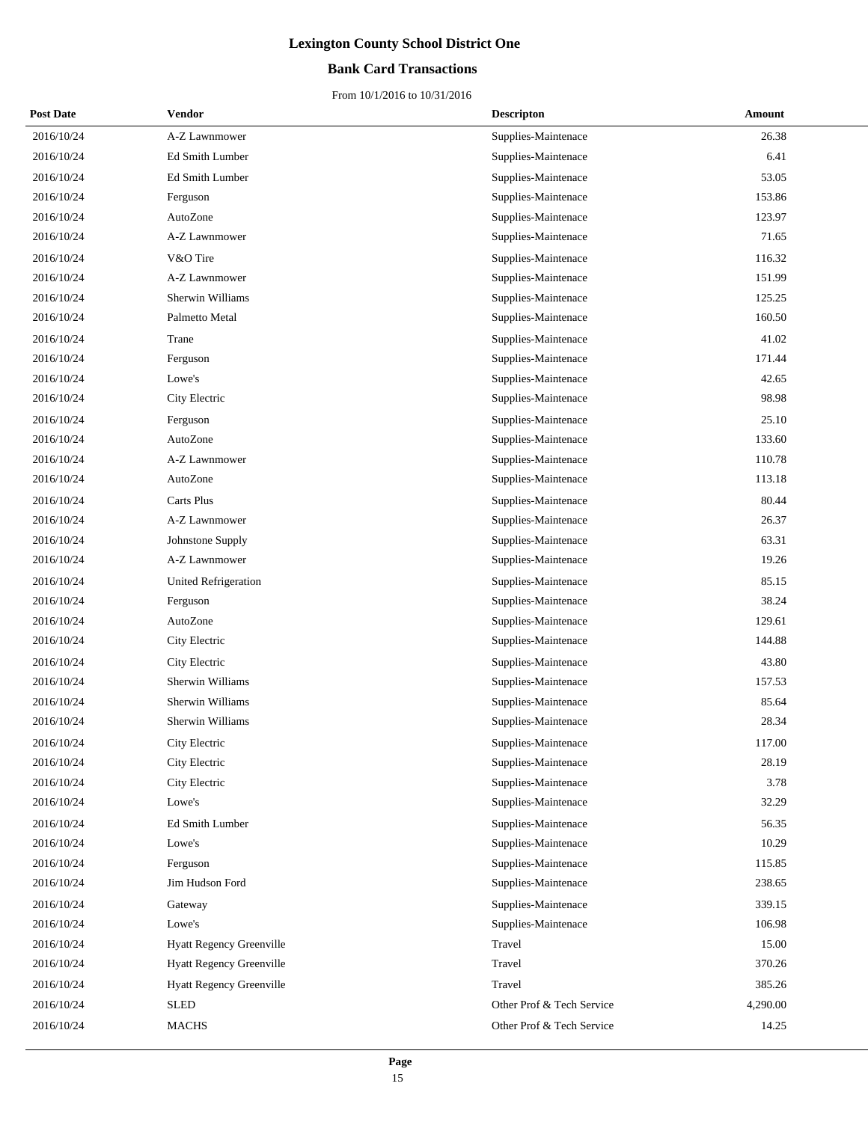### **Bank Card Transactions**

| <b>Post Date</b> | Vendor                      | <b>Descripton</b>         | Amount   |
|------------------|-----------------------------|---------------------------|----------|
| 2016/10/24       | A-Z Lawnmower               | Supplies-Maintenace       | 26.38    |
| 2016/10/24       | Ed Smith Lumber             | Supplies-Maintenace       | 6.41     |
| 2016/10/24       | Ed Smith Lumber             | Supplies-Maintenace       | 53.05    |
| 2016/10/24       | Ferguson                    | Supplies-Maintenace       | 153.86   |
| 2016/10/24       | AutoZone                    | Supplies-Maintenace       | 123.97   |
| 2016/10/24       | A-Z Lawnmower               | Supplies-Maintenace       | 71.65    |
| 2016/10/24       | V&O Tire                    | Supplies-Maintenace       | 116.32   |
| 2016/10/24       | A-Z Lawnmower               | Supplies-Maintenace       | 151.99   |
| 2016/10/24       | Sherwin Williams            | Supplies-Maintenace       | 125.25   |
| 2016/10/24       | Palmetto Metal              | Supplies-Maintenace       | 160.50   |
| 2016/10/24       | Trane                       | Supplies-Maintenace       | 41.02    |
| 2016/10/24       | Ferguson                    | Supplies-Maintenace       | 171.44   |
| 2016/10/24       | Lowe's                      | Supplies-Maintenace       | 42.65    |
| 2016/10/24       | City Electric               | Supplies-Maintenace       | 98.98    |
| 2016/10/24       | Ferguson                    | Supplies-Maintenace       | 25.10    |
| 2016/10/24       | AutoZone                    | Supplies-Maintenace       | 133.60   |
| 2016/10/24       | A-Z Lawnmower               | Supplies-Maintenace       | 110.78   |
| 2016/10/24       | AutoZone                    | Supplies-Maintenace       | 113.18   |
| 2016/10/24       | Carts Plus                  | Supplies-Maintenace       | 80.44    |
| 2016/10/24       | A-Z Lawnmower               | Supplies-Maintenace       | 26.37    |
| 2016/10/24       | Johnstone Supply            | Supplies-Maintenace       | 63.31    |
| 2016/10/24       | A-Z Lawnmower               | Supplies-Maintenace       | 19.26    |
| 2016/10/24       | <b>United Refrigeration</b> | Supplies-Maintenace       | 85.15    |
| 2016/10/24       | Ferguson                    | Supplies-Maintenace       | 38.24    |
| 2016/10/24       | AutoZone                    | Supplies-Maintenace       | 129.61   |
| 2016/10/24       | City Electric               | Supplies-Maintenace       | 144.88   |
| 2016/10/24       | City Electric               | Supplies-Maintenace       | 43.80    |
| 2016/10/24       | Sherwin Williams            | Supplies-Maintenace       | 157.53   |
| 2016/10/24       | Sherwin Williams            | Supplies-Maintenace       | 85.64    |
| 2016/10/24       | Sherwin Williams            | Supplies-Maintenace       | 28.34    |
| 2016/10/24       | City Electric               | Supplies-Maintenace       | 117.00   |
| 2016/10/24       | City Electric               | Supplies-Maintenace       | 28.19    |
| 2016/10/24       | City Electric               | Supplies-Maintenace       | 3.78     |
| 2016/10/24       | Lowe's                      | Supplies-Maintenace       | 32.29    |
| 2016/10/24       | Ed Smith Lumber             | Supplies-Maintenace       | 56.35    |
| 2016/10/24       | Lowe's                      | Supplies-Maintenace       | 10.29    |
| 2016/10/24       | Ferguson                    | Supplies-Maintenace       | 115.85   |
| 2016/10/24       | Jim Hudson Ford             | Supplies-Maintenace       | 238.65   |
| 2016/10/24       | Gateway                     | Supplies-Maintenace       | 339.15   |
| 2016/10/24       | Lowe's                      | Supplies-Maintenace       | 106.98   |
| 2016/10/24       | Hyatt Regency Greenville    | Travel                    | 15.00    |
| 2016/10/24       | Hyatt Regency Greenville    | Travel                    | 370.26   |
| 2016/10/24       | Hyatt Regency Greenville    | Travel                    | 385.26   |
| 2016/10/24       | <b>SLED</b>                 | Other Prof & Tech Service | 4,290.00 |
| 2016/10/24       | <b>MACHS</b>                | Other Prof & Tech Service | 14.25    |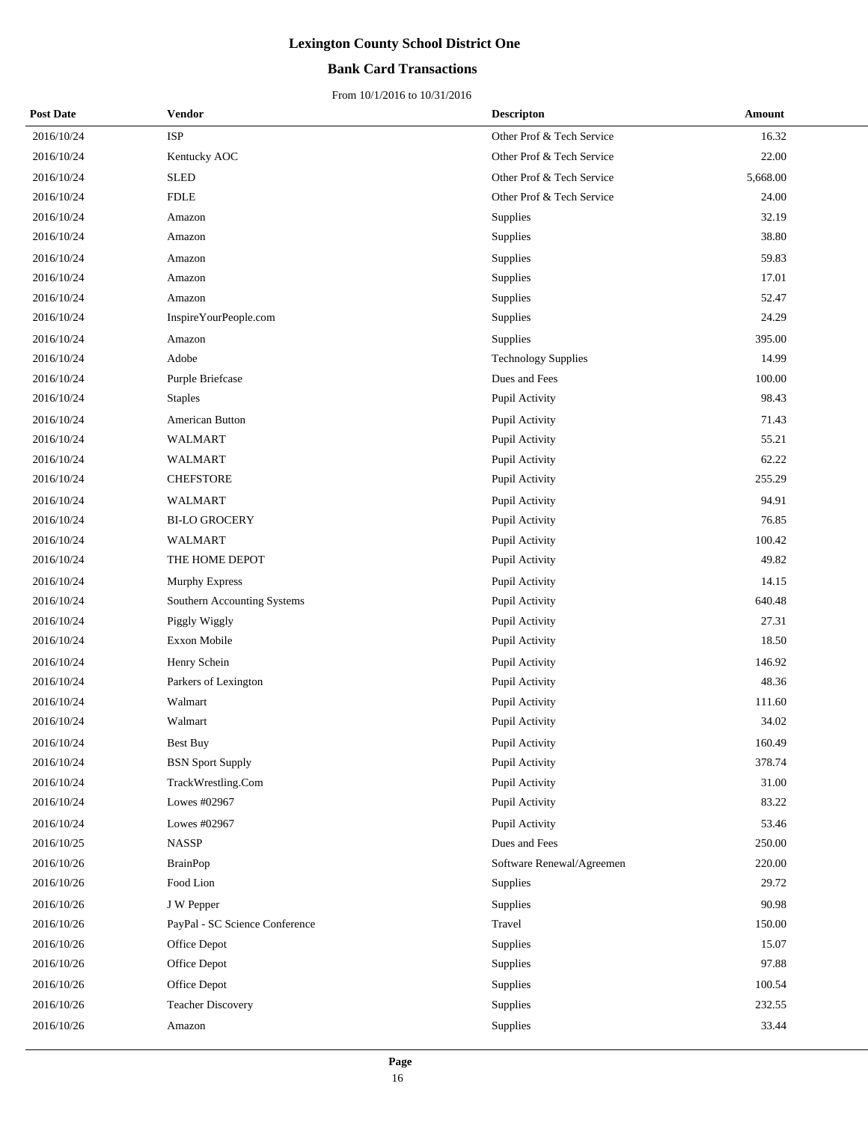### **Bank Card Transactions**

| <b>Post Date</b> | Vendor                         | <b>Descripton</b>          | Amount   |
|------------------|--------------------------------|----------------------------|----------|
| 2016/10/24       | <b>ISP</b>                     | Other Prof & Tech Service  | 16.32    |
| 2016/10/24       | Kentucky AOC                   | Other Prof & Tech Service  | 22.00    |
| 2016/10/24       | <b>SLED</b>                    | Other Prof & Tech Service  | 5,668.00 |
| 2016/10/24       | <b>FDLE</b>                    | Other Prof & Tech Service  | 24.00    |
| 2016/10/24       | Amazon                         | Supplies                   | 32.19    |
| 2016/10/24       | Amazon                         | Supplies                   | 38.80    |
| 2016/10/24       | Amazon                         | Supplies                   | 59.83    |
| 2016/10/24       | Amazon                         | Supplies                   | 17.01    |
| 2016/10/24       | Amazon                         | Supplies                   | 52.47    |
| 2016/10/24       | InspireYourPeople.com          | Supplies                   | 24.29    |
| 2016/10/24       | Amazon                         | Supplies                   | 395.00   |
| 2016/10/24       | Adobe                          | <b>Technology Supplies</b> | 14.99    |
| 2016/10/24       | Purple Briefcase               | Dues and Fees              | 100.00   |
| 2016/10/24       | <b>Staples</b>                 | Pupil Activity             | 98.43    |
| 2016/10/24       | American Button                | Pupil Activity             | 71.43    |
| 2016/10/24       | <b>WALMART</b>                 | Pupil Activity             | 55.21    |
| 2016/10/24       | <b>WALMART</b>                 | Pupil Activity             | 62.22    |
| 2016/10/24       | <b>CHEFSTORE</b>               | Pupil Activity             | 255.29   |
| 2016/10/24       | WALMART                        | Pupil Activity             | 94.91    |
| 2016/10/24       | <b>BI-LO GROCERY</b>           | Pupil Activity             | 76.85    |
| 2016/10/24       | <b>WALMART</b>                 | Pupil Activity             | 100.42   |
| 2016/10/24       | THE HOME DEPOT                 | Pupil Activity             | 49.82    |
| 2016/10/24       | <b>Murphy Express</b>          | Pupil Activity             | 14.15    |
| 2016/10/24       | Southern Accounting Systems    | Pupil Activity             | 640.48   |
| 2016/10/24       | Piggly Wiggly                  | Pupil Activity             | 27.31    |
| 2016/10/24       | Exxon Mobile                   | Pupil Activity             | 18.50    |
| 2016/10/24       | Henry Schein                   | Pupil Activity             | 146.92   |
| 2016/10/24       | Parkers of Lexington           | Pupil Activity             | 48.36    |
| 2016/10/24       | Walmart                        | Pupil Activity             | 111.60   |
| 2016/10/24       | Walmart                        | Pupil Activity             | 34.02    |
| 2016/10/24       | Best Buy                       | Pupil Activity             | 160.49   |
| 2016/10/24       | <b>BSN</b> Sport Supply        | Pupil Activity             | 378.74   |
| 2016/10/24       | TrackWrestling.Com             | Pupil Activity             | 31.00    |
| 2016/10/24       | Lowes #02967                   | Pupil Activity             | 83.22    |
| 2016/10/24       | Lowes #02967                   | Pupil Activity             | 53.46    |
| 2016/10/25       | <b>NASSP</b>                   | Dues and Fees              | 250.00   |
| 2016/10/26       | <b>BrainPop</b>                | Software Renewal/Agreemen  | 220.00   |
| 2016/10/26       | Food Lion                      | Supplies                   | 29.72    |
| 2016/10/26       | J W Pepper                     | Supplies                   | 90.98    |
| 2016/10/26       | PayPal - SC Science Conference | Travel                     | 150.00   |
| 2016/10/26       | Office Depot                   | Supplies                   | 15.07    |
| 2016/10/26       | Office Depot                   | Supplies                   | 97.88    |
| 2016/10/26       | Office Depot                   | Supplies                   | 100.54   |
| 2016/10/26       | <b>Teacher Discovery</b>       | Supplies                   | 232.55   |
| 2016/10/26       | Amazon                         | Supplies                   | 33.44    |
|                  |                                |                            |          |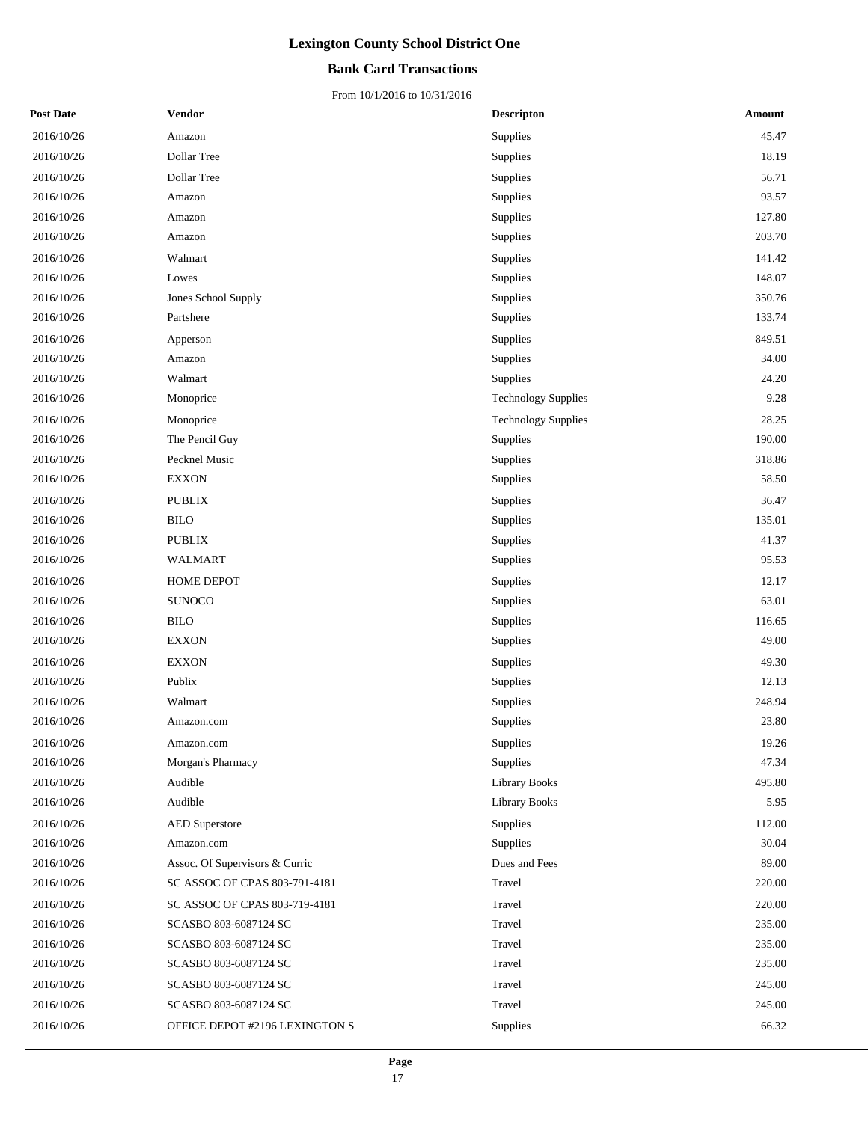### **Bank Card Transactions**

| <b>Post Date</b> | Vendor                         | <b>Descripton</b>          | <b>Amount</b> |
|------------------|--------------------------------|----------------------------|---------------|
| 2016/10/26       | Amazon                         | Supplies                   | 45.47         |
| 2016/10/26       | Dollar Tree                    | Supplies                   | 18.19         |
| 2016/10/26       | Dollar Tree                    | Supplies                   | 56.71         |
| 2016/10/26       | Amazon                         | Supplies                   | 93.57         |
| 2016/10/26       | Amazon                         | Supplies                   | 127.80        |
| 2016/10/26       | Amazon                         | Supplies                   | 203.70        |
| 2016/10/26       | Walmart                        | Supplies                   | 141.42        |
| 2016/10/26       | Lowes                          | Supplies                   | 148.07        |
| 2016/10/26       | Jones School Supply            | Supplies                   | 350.76        |
| 2016/10/26       | Partshere                      | Supplies                   | 133.74        |
| 2016/10/26       | Apperson                       | Supplies                   | 849.51        |
| 2016/10/26       | Amazon                         | Supplies                   | 34.00         |
| 2016/10/26       | Walmart                        | Supplies                   | 24.20         |
| 2016/10/26       | Monoprice                      | <b>Technology Supplies</b> | 9.28          |
| 2016/10/26       | Monoprice                      | <b>Technology Supplies</b> | 28.25         |
| 2016/10/26       | The Pencil Guy                 | Supplies                   | 190.00        |
| 2016/10/26       | Pecknel Music                  | Supplies                   | 318.86        |
| 2016/10/26       | <b>EXXON</b>                   | Supplies                   | 58.50         |
| 2016/10/26       | <b>PUBLIX</b>                  | Supplies                   | 36.47         |
| 2016/10/26       | <b>BILO</b>                    | Supplies                   | 135.01        |
| 2016/10/26       | <b>PUBLIX</b>                  | Supplies                   | 41.37         |
| 2016/10/26       | WALMART                        | Supplies                   | 95.53         |
| 2016/10/26       | HOME DEPOT                     | Supplies                   | 12.17         |
| 2016/10/26       | <b>SUNOCO</b>                  | Supplies                   | 63.01         |
| 2016/10/26       | <b>BILO</b>                    | Supplies                   | 116.65        |
| 2016/10/26       | <b>EXXON</b>                   | Supplies                   | 49.00         |
| 2016/10/26       | <b>EXXON</b>                   | Supplies                   | 49.30         |
| 2016/10/26       | Publix                         | Supplies                   | 12.13         |
| 2016/10/26       | Walmart                        | Supplies                   | 248.94        |
| 2016/10/26       | Amazon.com                     | Supplies                   | 23.80         |
| 2016/10/26       | Amazon.com                     | Supplies                   | 19.26         |
| 2016/10/26       | Morgan's Pharmacy              | Supplies                   | 47.34         |
| 2016/10/26       | Audible                        | <b>Library Books</b>       | 495.80        |
| 2016/10/26       | Audible                        | <b>Library Books</b>       | 5.95          |
| 2016/10/26       | <b>AED</b> Superstore          | Supplies                   | 112.00        |
| 2016/10/26       | Amazon.com                     | Supplies                   | 30.04         |
| 2016/10/26       | Assoc. Of Supervisors & Curric | Dues and Fees              | 89.00         |
| 2016/10/26       | SC ASSOC OF CPAS 803-791-4181  | Travel                     | 220.00        |
| 2016/10/26       | SC ASSOC OF CPAS 803-719-4181  | Travel                     | 220.00        |
| 2016/10/26       | SCASBO 803-6087124 SC          | Travel                     | 235.00        |
| 2016/10/26       | SCASBO 803-6087124 SC          | Travel                     | 235.00        |
| 2016/10/26       | SCASBO 803-6087124 SC          | Travel                     | 235.00        |
| 2016/10/26       | SCASBO 803-6087124 SC          | Travel                     | 245.00        |
| 2016/10/26       | SCASBO 803-6087124 SC          | Travel                     | 245.00        |
| 2016/10/26       | OFFICE DEPOT #2196 LEXINGTON S | Supplies                   | 66.32         |
|                  |                                |                            |               |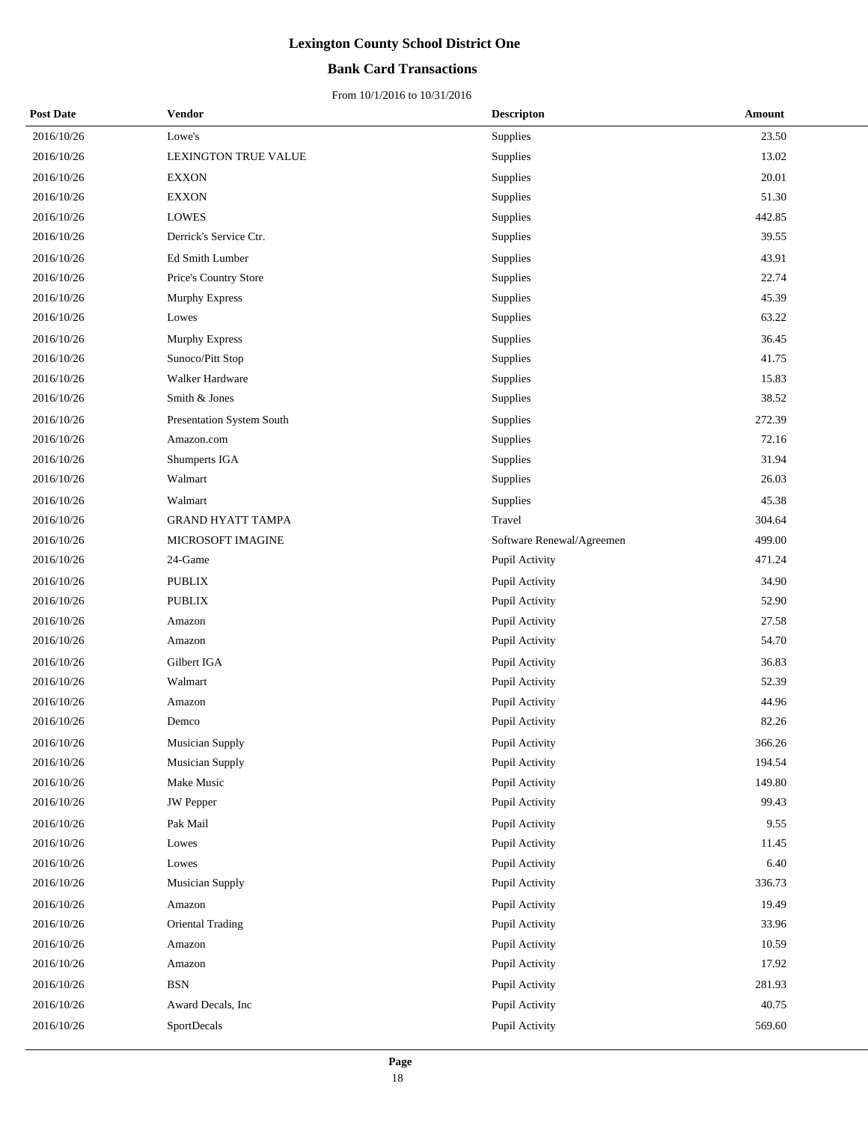### **Bank Card Transactions**

| <b>Post Date</b> | Vendor                    | <b>Descripton</b>         | Amount |
|------------------|---------------------------|---------------------------|--------|
| 2016/10/26       | Lowe's                    | Supplies                  | 23.50  |
| 2016/10/26       | LEXINGTON TRUE VALUE      | Supplies                  | 13.02  |
| 2016/10/26       | <b>EXXON</b>              | Supplies                  | 20.01  |
| 2016/10/26       | <b>EXXON</b>              | Supplies                  | 51.30  |
| 2016/10/26       | <b>LOWES</b>              | Supplies                  | 442.85 |
| 2016/10/26       | Derrick's Service Ctr.    | Supplies                  | 39.55  |
| 2016/10/26       | Ed Smith Lumber           | Supplies                  | 43.91  |
| 2016/10/26       | Price's Country Store     | Supplies                  | 22.74  |
| 2016/10/26       | Murphy Express            | Supplies                  | 45.39  |
| 2016/10/26       | Lowes                     | Supplies                  | 63.22  |
| 2016/10/26       | Murphy Express            | Supplies                  | 36.45  |
| 2016/10/26       | Sunoco/Pitt Stop          | Supplies                  | 41.75  |
| 2016/10/26       | Walker Hardware           | Supplies                  | 15.83  |
| 2016/10/26       | Smith & Jones             | Supplies                  | 38.52  |
| 2016/10/26       | Presentation System South | Supplies                  | 272.39 |
| 2016/10/26       | Amazon.com                | Supplies                  | 72.16  |
| 2016/10/26       | Shumperts IGA             | Supplies                  | 31.94  |
| 2016/10/26       | Walmart                   | Supplies                  | 26.03  |
| 2016/10/26       | Walmart                   | Supplies                  | 45.38  |
| 2016/10/26       | <b>GRAND HYATT TAMPA</b>  | Travel                    | 304.64 |
| 2016/10/26       | MICROSOFT IMAGINE         | Software Renewal/Agreemen | 499.00 |
| 2016/10/26       | 24-Game                   | Pupil Activity            | 471.24 |
| 2016/10/26       | <b>PUBLIX</b>             | Pupil Activity            | 34.90  |
| 2016/10/26       | <b>PUBLIX</b>             | Pupil Activity            | 52.90  |
| 2016/10/26       | Amazon                    | Pupil Activity            | 27.58  |
| 2016/10/26       | Amazon                    | Pupil Activity            | 54.70  |
| 2016/10/26       | Gilbert IGA               | Pupil Activity            | 36.83  |
| 2016/10/26       | Walmart                   | Pupil Activity            | 52.39  |
| 2016/10/26       | Amazon                    | Pupil Activity            | 44.96  |
| 2016/10/26       | Demco                     | Pupil Activity            | 82.26  |
| 2016/10/26       | Musician Supply           | Pupil Activity            | 366.26 |
| 2016/10/26       | Musician Supply           | Pupil Activity            | 194.54 |
| 2016/10/26       | Make Music                | Pupil Activity            | 149.80 |
| 2016/10/26       | <b>JW</b> Pepper          | Pupil Activity            | 99.43  |
| 2016/10/26       | Pak Mail                  | Pupil Activity            | 9.55   |
| 2016/10/26       | Lowes                     | Pupil Activity            | 11.45  |
| 2016/10/26       | Lowes                     | Pupil Activity            | 6.40   |
| 2016/10/26       | Musician Supply           | Pupil Activity            | 336.73 |
| 2016/10/26       | Amazon                    | Pupil Activity            | 19.49  |
| 2016/10/26       | Oriental Trading          | Pupil Activity            | 33.96  |
| 2016/10/26       | Amazon                    | Pupil Activity            | 10.59  |
| 2016/10/26       | Amazon                    | Pupil Activity            | 17.92  |
| 2016/10/26       | <b>BSN</b>                | Pupil Activity            | 281.93 |
| 2016/10/26       | Award Decals, Inc.        | Pupil Activity            | 40.75  |
| 2016/10/26       | SportDecals               | Pupil Activity            | 569.60 |
|                  |                           |                           |        |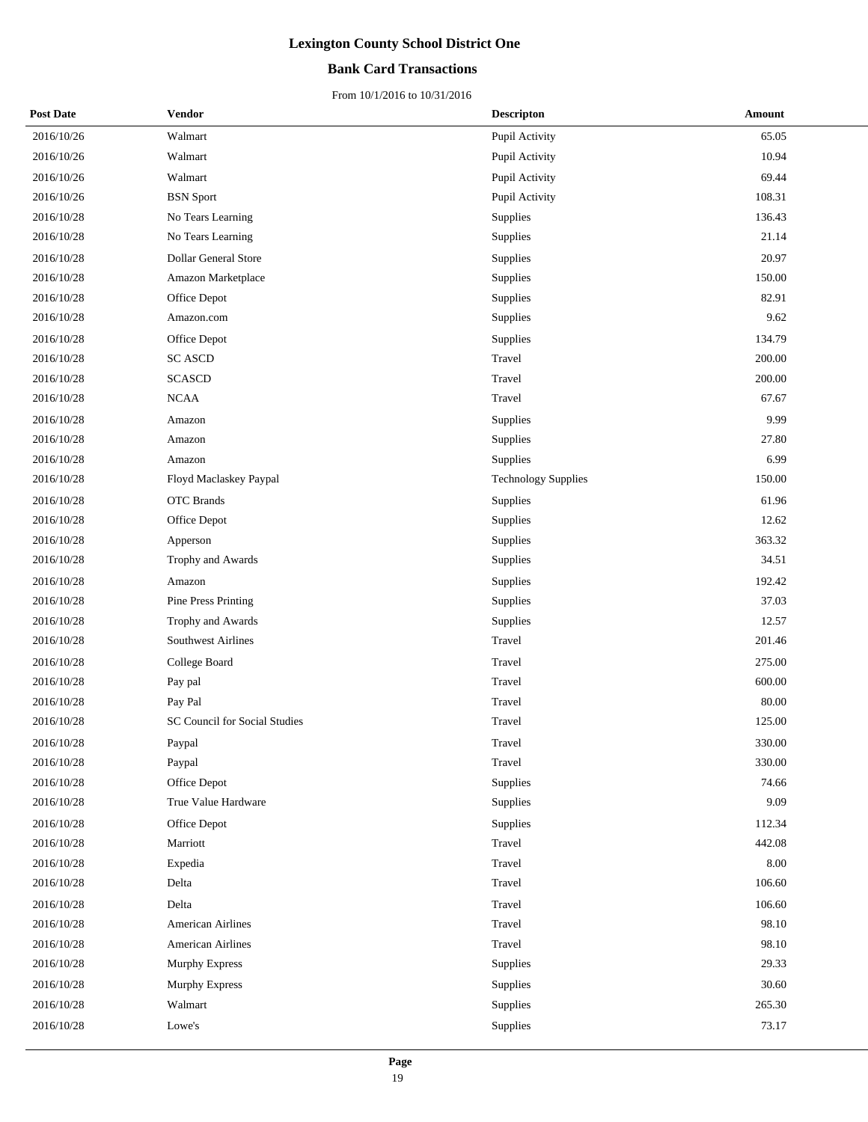### **Bank Card Transactions**

| <b>Post Date</b> | Vendor                        | <b>Descripton</b>          | Amount |
|------------------|-------------------------------|----------------------------|--------|
| 2016/10/26       | Walmart                       | Pupil Activity             | 65.05  |
| 2016/10/26       | Walmart                       | Pupil Activity             | 10.94  |
| 2016/10/26       | Walmart                       | Pupil Activity             | 69.44  |
| 2016/10/26       | <b>BSN</b> Sport              | Pupil Activity             | 108.31 |
| 2016/10/28       | No Tears Learning             | Supplies                   | 136.43 |
| 2016/10/28       | No Tears Learning             | Supplies                   | 21.14  |
| 2016/10/28       | <b>Dollar General Store</b>   | Supplies                   | 20.97  |
| 2016/10/28       | Amazon Marketplace            | Supplies                   | 150.00 |
| 2016/10/28       | Office Depot                  | Supplies                   | 82.91  |
| 2016/10/28       | Amazon.com                    | Supplies                   | 9.62   |
| 2016/10/28       | Office Depot                  | Supplies                   | 134.79 |
| 2016/10/28       | <b>SC ASCD</b>                | Travel                     | 200.00 |
| 2016/10/28       | <b>SCASCD</b>                 | Travel                     | 200.00 |
| 2016/10/28       | NCAA                          | Travel                     | 67.67  |
| 2016/10/28       | Amazon                        | Supplies                   | 9.99   |
| 2016/10/28       | Amazon                        | Supplies                   | 27.80  |
| 2016/10/28       | Amazon                        | Supplies                   | 6.99   |
| 2016/10/28       | Floyd Maclaskey Paypal        | <b>Technology Supplies</b> | 150.00 |
| 2016/10/28       | OTC Brands                    | <b>Supplies</b>            | 61.96  |
| 2016/10/28       | Office Depot                  | Supplies                   | 12.62  |
| 2016/10/28       | Apperson                      | Supplies                   | 363.32 |
| 2016/10/28       | Trophy and Awards             | Supplies                   | 34.51  |
| 2016/10/28       | Amazon                        | Supplies                   | 192.42 |
| 2016/10/28       | Pine Press Printing           | Supplies                   | 37.03  |
| 2016/10/28       | Trophy and Awards             | Supplies                   | 12.57  |
| 2016/10/28       | Southwest Airlines            | Travel                     | 201.46 |
| 2016/10/28       | College Board                 | Travel                     | 275.00 |
| 2016/10/28       | Pay pal                       | Travel                     | 600.00 |
| 2016/10/28       | Pay Pal                       | Travel                     | 80.00  |
| 2016/10/28       | SC Council for Social Studies | Travel                     | 125.00 |
| 2016/10/28       | Paypal                        | Travel                     | 330.00 |
| 2016/10/28       | Paypal                        | Travel                     | 330.00 |
| 2016/10/28       | Office Depot                  | Supplies                   | 74.66  |
| 2016/10/28       | True Value Hardware           | Supplies                   | 9.09   |
| 2016/10/28       | Office Depot                  | Supplies                   | 112.34 |
| 2016/10/28       | Marriott                      | Travel                     | 442.08 |
| 2016/10/28       | Expedia                       | Travel                     | 8.00   |
| 2016/10/28       | Delta                         | Travel                     | 106.60 |
| 2016/10/28       | Delta                         | Travel                     | 106.60 |
| 2016/10/28       | <b>American Airlines</b>      | Travel                     | 98.10  |
| 2016/10/28       | American Airlines             | Travel                     | 98.10  |
| 2016/10/28       | Murphy Express                | Supplies                   | 29.33  |
| 2016/10/28       | <b>Murphy Express</b>         | Supplies                   | 30.60  |
| 2016/10/28       | Walmart                       | Supplies                   | 265.30 |
| 2016/10/28       | Lowe's                        | Supplies                   | 73.17  |
|                  |                               |                            |        |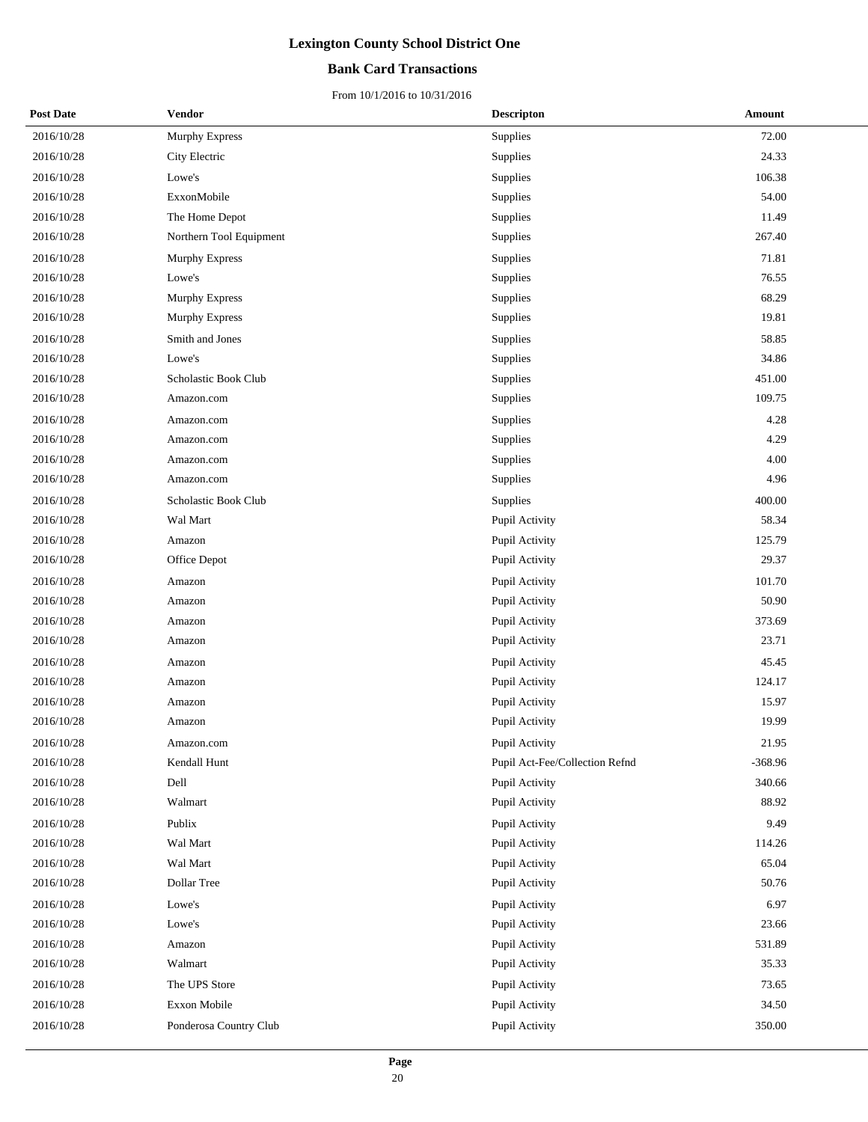### **Bank Card Transactions**

| <b>Post Date</b> | Vendor                  | <b>Descripton</b>              | Amount    |
|------------------|-------------------------|--------------------------------|-----------|
| 2016/10/28       | Murphy Express          | Supplies                       | 72.00     |
| 2016/10/28       | City Electric           | Supplies                       | 24.33     |
| 2016/10/28       | Lowe's                  | Supplies                       | 106.38    |
| 2016/10/28       | ExxonMobile             | Supplies                       | 54.00     |
| 2016/10/28       | The Home Depot          | Supplies                       | 11.49     |
| 2016/10/28       | Northern Tool Equipment | Supplies                       | 267.40    |
| 2016/10/28       | <b>Murphy Express</b>   | Supplies                       | 71.81     |
| 2016/10/28       | Lowe's                  | Supplies                       | 76.55     |
| 2016/10/28       | Murphy Express          | Supplies                       | 68.29     |
| 2016/10/28       | <b>Murphy Express</b>   | Supplies                       | 19.81     |
| 2016/10/28       | Smith and Jones         | Supplies                       | 58.85     |
| 2016/10/28       | Lowe's                  | Supplies                       | 34.86     |
| 2016/10/28       | Scholastic Book Club    | Supplies                       | 451.00    |
| 2016/10/28       | Amazon.com              | Supplies                       | 109.75    |
| 2016/10/28       | Amazon.com              | Supplies                       | 4.28      |
| 2016/10/28       | Amazon.com              | Supplies                       | 4.29      |
| 2016/10/28       | Amazon.com              | Supplies                       | 4.00      |
| 2016/10/28       | Amazon.com              | Supplies                       | 4.96      |
| 2016/10/28       | Scholastic Book Club    | Supplies                       | 400.00    |
| 2016/10/28       | Wal Mart                | Pupil Activity                 | 58.34     |
| 2016/10/28       | Amazon                  | Pupil Activity                 | 125.79    |
| 2016/10/28       | Office Depot            | Pupil Activity                 | 29.37     |
| 2016/10/28       | Amazon                  | Pupil Activity                 | 101.70    |
| 2016/10/28       | Amazon                  | Pupil Activity                 | 50.90     |
| 2016/10/28       | Amazon                  | Pupil Activity                 | 373.69    |
| 2016/10/28       | Amazon                  | Pupil Activity                 | 23.71     |
| 2016/10/28       | Amazon                  | Pupil Activity                 | 45.45     |
| 2016/10/28       | Amazon                  | Pupil Activity                 | 124.17    |
| 2016/10/28       | Amazon                  | Pupil Activity                 | 15.97     |
| 2016/10/28       | Amazon                  | Pupil Activity                 | 19.99     |
| 2016/10/28       | Amazon.com              | <b>Pupil Activity</b>          | 21.95     |
| 2016/10/28       | Kendall Hunt            | Pupil Act-Fee/Collection Refnd | $-368.96$ |
| 2016/10/28       | Dell                    | Pupil Activity                 | 340.66    |
| 2016/10/28       | Walmart                 | Pupil Activity                 | 88.92     |
| 2016/10/28       | Publix                  | Pupil Activity                 | 9.49      |
| 2016/10/28       | Wal Mart                | Pupil Activity                 | 114.26    |
| 2016/10/28       | Wal Mart                | Pupil Activity                 | 65.04     |
| 2016/10/28       | Dollar Tree             | Pupil Activity                 | 50.76     |
| 2016/10/28       | Lowe's                  | Pupil Activity                 | 6.97      |
| 2016/10/28       | Lowe's                  | Pupil Activity                 | 23.66     |
| 2016/10/28       | Amazon                  | Pupil Activity                 | 531.89    |
| 2016/10/28       | Walmart                 | Pupil Activity                 | 35.33     |
| 2016/10/28       | The UPS Store           | Pupil Activity                 | 73.65     |
| 2016/10/28       | Exxon Mobile            | Pupil Activity                 | 34.50     |
| 2016/10/28       | Ponderosa Country Club  | Pupil Activity                 | 350.00    |
|                  |                         |                                |           |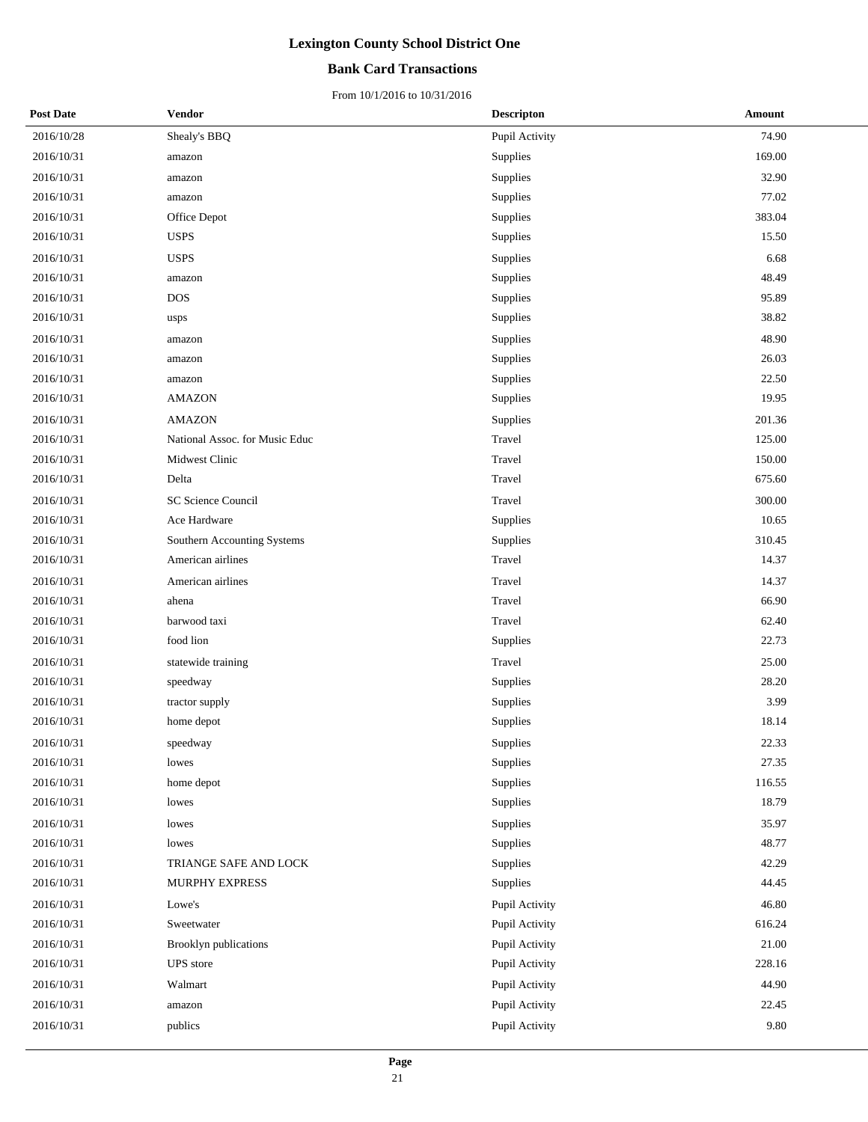### **Bank Card Transactions**

| <b>Post Date</b> | Vendor                         | <b>Descripton</b> | Amount |
|------------------|--------------------------------|-------------------|--------|
| 2016/10/28       | Shealy's BBQ                   | Pupil Activity    | 74.90  |
| 2016/10/31       | amazon                         | Supplies          | 169.00 |
| 2016/10/31       | amazon                         | Supplies          | 32.90  |
| 2016/10/31       | amazon                         | Supplies          | 77.02  |
| 2016/10/31       | Office Depot                   | Supplies          | 383.04 |
| 2016/10/31       | <b>USPS</b>                    | Supplies          | 15.50  |
| 2016/10/31       | <b>USPS</b>                    | Supplies          | 6.68   |
| 2016/10/31       | amazon                         | Supplies          | 48.49  |
| 2016/10/31       | <b>DOS</b>                     | Supplies          | 95.89  |
| 2016/10/31       | usps                           | Supplies          | 38.82  |
| 2016/10/31       | amazon                         | Supplies          | 48.90  |
| 2016/10/31       | amazon                         | Supplies          | 26.03  |
| 2016/10/31       | amazon                         | Supplies          | 22.50  |
| 2016/10/31       | AMAZON                         | Supplies          | 19.95  |
| 2016/10/31       | <b>AMAZON</b>                  | Supplies          | 201.36 |
| 2016/10/31       | National Assoc. for Music Educ | Travel            | 125.00 |
| 2016/10/31       | Midwest Clinic                 | Travel            | 150.00 |
| 2016/10/31       | Delta                          | Travel            | 675.60 |
| 2016/10/31       | SC Science Council             | Travel            | 300.00 |
| 2016/10/31       | Ace Hardware                   | Supplies          | 10.65  |
| 2016/10/31       | Southern Accounting Systems    | Supplies          | 310.45 |
| 2016/10/31       | American airlines              | Travel            | 14.37  |
| 2016/10/31       | American airlines              | Travel            | 14.37  |
| 2016/10/31       | ahena                          | Travel            | 66.90  |
| 2016/10/31       | barwood taxi                   | Travel            | 62.40  |
| 2016/10/31       | food lion                      | Supplies          | 22.73  |
| 2016/10/31       | statewide training             | Travel            | 25.00  |
| 2016/10/31       | speedway                       | Supplies          | 28.20  |
| 2016/10/31       | tractor supply                 | Supplies          | 3.99   |
| 2016/10/31       | home depot                     | Supplies          | 18.14  |
| 2016/10/31       | speedway                       | Supplies          | 22.33  |
| 2016/10/31       | lowes                          | Supplies          | 27.35  |
| 2016/10/31       | home depot                     | Supplies          | 116.55 |
| 2016/10/31       | lowes                          | Supplies          | 18.79  |
| 2016/10/31       | lowes                          | Supplies          | 35.97  |
| 2016/10/31       | lowes                          | Supplies          | 48.77  |
| 2016/10/31       | TRIANGE SAFE AND LOCK          | Supplies          | 42.29  |
| 2016/10/31       | MURPHY EXPRESS                 | Supplies          | 44.45  |
| 2016/10/31       | Lowe's                         | Pupil Activity    | 46.80  |
| 2016/10/31       | Sweetwater                     | Pupil Activity    | 616.24 |
| 2016/10/31       | Brooklyn publications          | Pupil Activity    | 21.00  |
| 2016/10/31       | UPS store                      | Pupil Activity    | 228.16 |
| 2016/10/31       | Walmart                        | Pupil Activity    | 44.90  |
| 2016/10/31       | amazon                         | Pupil Activity    | 22.45  |
| 2016/10/31       | publics                        | Pupil Activity    | 9.80   |
|                  |                                |                   |        |